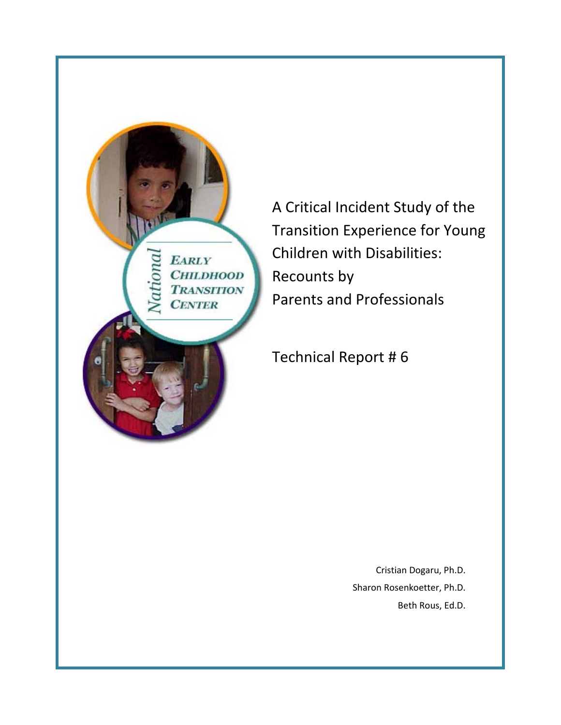

A Critical Incident Study of the Transition Experience for Young Children with Disabilities: Recounts by Parents and Professionals

Technical Report # 6

Cristian Dogaru, Ph.D. Sharon Rosenkoetter, Ph.D. Beth Rous, Ed.D.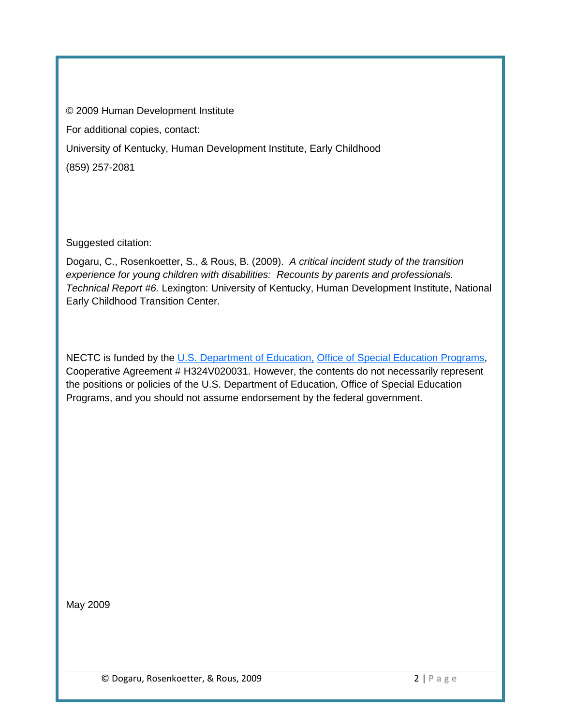© 2009 Human Development Institute For additional copies, contact: University of Kentucky, Human Development Institute, Early Childhood (859) 257-2081

Suggested citation:

Dogaru, C., Rosenkoetter, S., & Rous, B. (2009). *A critical incident study of the transition experience for young children with disabilities: Recounts by parents and professionals. Technical Report #6.* Lexington: University of Kentucky, Human Development Institute, National Early Childhood Transition Center.

NECTC is funded by the [U.S. Department of Education,](http://www.ed.gov/) [Office of Special Education Programs,](http://www.ed.gov/offices/OSERS/OSEP/index.html) Cooperative Agreement # H324V020031. However, the contents do not necessarily represent the positions or policies of the U.S. Department of Education, Office of Special Education Programs, and you should not assume endorsement by the federal government.

May 2009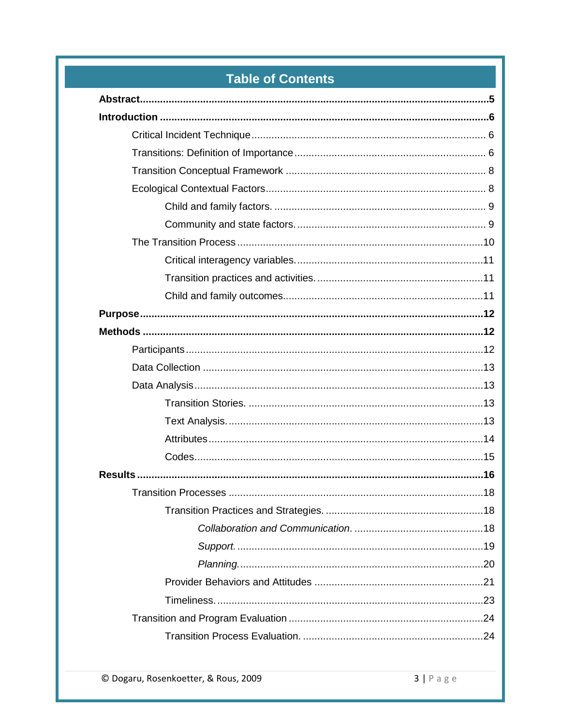# **Table of Contents**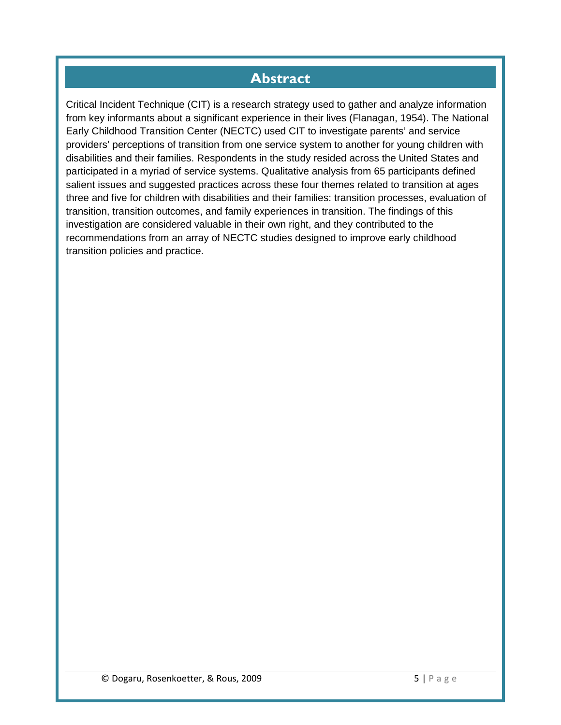# **Abstract**

<span id="page-4-0"></span>Critical Incident Technique (CIT) is a research strategy used to gather and analyze information from key informants about a significant experience in their lives (Flanagan, 1954). The National Early Childhood Transition Center (NECTC) used CIT to investigate parents' and service providers' perceptions of transition from one service system to another for young children with disabilities and their families. Respondents in the study resided across the United States and participated in a myriad of service systems. Qualitative analysis from 65 participants defined salient issues and suggested practices across these four themes related to transition at ages three and five for children with disabilities and their families: transition processes, evaluation of transition, transition outcomes, and family experiences in transition. The findings of this investigation are considered valuable in their own right, and they contributed to the recommendations from an array of NECTC studies designed to improve early childhood transition policies and practice.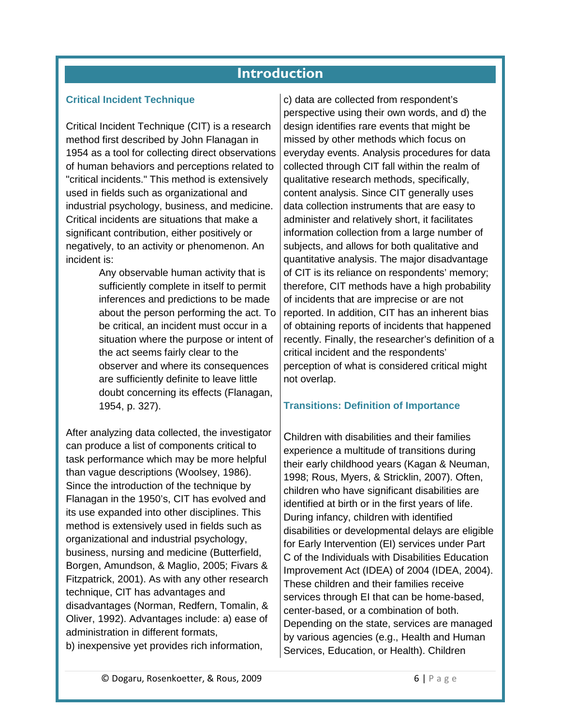## **Introduction**

#### <span id="page-5-1"></span><span id="page-5-0"></span>**Critical Incident Technique**

Critical Incident Technique (CIT) is a research method first described by John Flanagan in 1954 as a tool for collecting direct observations of human behaviors and perceptions related to "critical incidents." This method is extensively used in fields such as organizational and industrial psychology, business, and medicine. Critical incidents are situations that make a significant contribution, either positively or negatively, to an activity or phenomenon. An incident is:

> Any observable human activity that is sufficiently complete in itself to permit inferences and predictions to be made about the person performing the act. To be critical, an incident must occur in a situation where the purpose or intent of the act seems fairly clear to the observer and where its consequences are sufficiently definite to leave little doubt concerning its effects (Flanagan, 1954, p. 327).

After analyzing data collected, the investigator can produce a list of components critical to task performance which may be more helpful than vague descriptions (Woolsey, 1986). Since the introduction of the technique by Flanagan in the 1950's, CIT has evolved and its use expanded into other disciplines. This method is extensively used in fields such as organizational and industrial psychology, business, nursing and medicine (Butterfield, Borgen, Amundson, & Maglio, 2005; Fivars & Fitzpatrick, 2001). As with any other research technique, CIT has advantages and disadvantages (Norman, Redfern, Tomalin, & Oliver, 1992). Advantages include: a) ease of administration in different formats, b) inexpensive yet provides rich information,

c) data are collected from respondent's perspective using their own words, and d) the design identifies rare events that might be missed by other methods which focus on everyday events. Analysis procedures for data collected through CIT fall within the realm of qualitative research methods, specifically, content analysis. Since CIT generally uses data collection instruments that are easy to administer and relatively short, it facilitates information collection from a large number of subjects, and allows for both qualitative and quantitative analysis. The major disadvantage of CIT is its reliance on respondents' memory; therefore, CIT methods have a high probability of incidents that are imprecise or are not reported. In addition, CIT has an inherent bias of obtaining reports of incidents that happened recently. Finally, the researcher's definition of a critical incident and the respondents' perception of what is considered critical might not overlap.

#### <span id="page-5-2"></span>**Transitions: Definition of Importance**

Children with disabilities and their families experience a multitude of transitions during their early childhood years (Kagan & Neuman, 1998; Rous, Myers, & Stricklin, 2007). Often, children who have significant disabilities are identified at birth or in the first years of life. During infancy, children with identified disabilities or developmental delays are eligible for Early Intervention (EI) services under Part C of the Individuals with Disabilities Education Improvement Act (IDEA) of 2004 (IDEA, 2004). These children and their families receive services through EI that can be home-based, center-based, or a combination of both. Depending on the state, services are managed by various agencies (e.g., Health and Human Services, Education, or Health). Children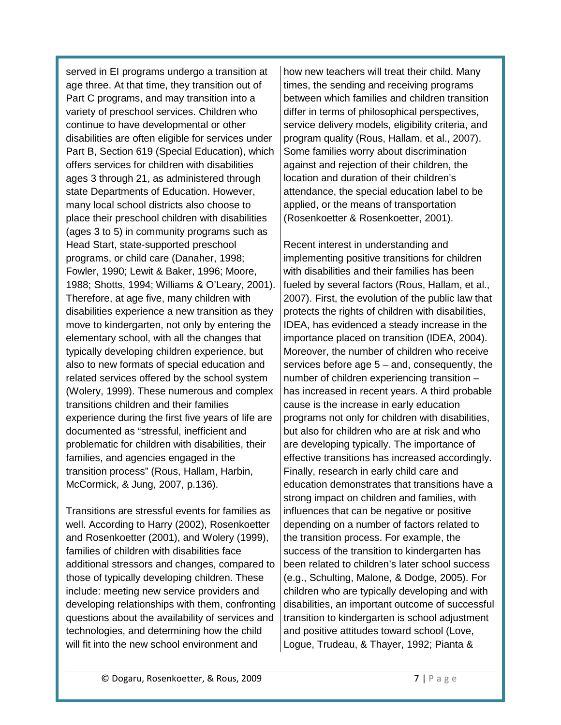served in EI programs undergo a transition at age three. At that time, they transition out of Part C programs, and may transition into a variety of preschool services. Children who continue to have developmental or other disabilities are often eligible for services under Part B, Section 619 (Special Education), which offers services for children with disabilities ages 3 through 21, as administered through state Departments of Education. However, many local school districts also choose to place their preschool children with disabilities (ages 3 to 5) in community programs such as Head Start, state-supported preschool programs, or child care (Danaher, 1998; Fowler, 1990; Lewit & Baker, 1996; Moore, 1988; Shotts, 1994; Williams & O'Leary, 2001). Therefore, at age five, many children with disabilities experience a new transition as they move to kindergarten, not only by entering the elementary school, with all the changes that typically developing children experience, but also to new formats of special education and related services offered by the school system (Wolery, 1999). These numerous and complex transitions children and their families experience during the first five years of life are documented as "stressful, inefficient and problematic for children with disabilities, their families, and agencies engaged in the transition process" (Rous, Hallam, Harbin, McCormick, & Jung, 2007, p.136).

Transitions are stressful events for families as well. According to Harry (2002), Rosenkoetter and Rosenkoetter (2001), and Wolery (1999), families of children with disabilities face additional stressors and changes, compared to those of typically developing children. These include: meeting new service providers and developing relationships with them, confronting questions about the availability of services and technologies, and determining how the child will fit into the new school environment and

how new teachers will treat their child. Many times, the sending and receiving programs between which families and children transition differ in terms of philosophical perspectives, service delivery models, eligibility criteria, and program quality (Rous, Hallam, et al., 2007). Some families worry about discrimination against and rejection of their children, the location and duration of their children's attendance, the special education label to be applied, or the means of transportation (Rosenkoetter & Rosenkoetter, 2001).

Recent interest in understanding and implementing positive transitions for children with disabilities and their families has been fueled by several factors (Rous, Hallam, et al., 2007). First, the evolution of the public law that protects the rights of children with disabilities, IDEA, has evidenced a steady increase in the importance placed on transition (IDEA, 2004). Moreover, the number of children who receive services before age 5 – and, consequently, the number of children experiencing transition – has increased in recent years. A third probable cause is the increase in early education programs not only for children with disabilities, but also for children who are at risk and who are developing typically. The importance of effective transitions has increased accordingly. Finally, research in early child care and education demonstrates that transitions have a strong impact on children and families, with influences that can be negative or positive depending on a number of factors related to the transition process. For example, the success of the transition to kindergarten has been related to children's later school success (e.g., Schulting, Malone, & Dodge, 2005). For children who are typically developing and with disabilities, an important outcome of successful transition to kindergarten is school adjustment and positive attitudes toward school (Love, Logue, Trudeau, & Thayer, 1992; Pianta &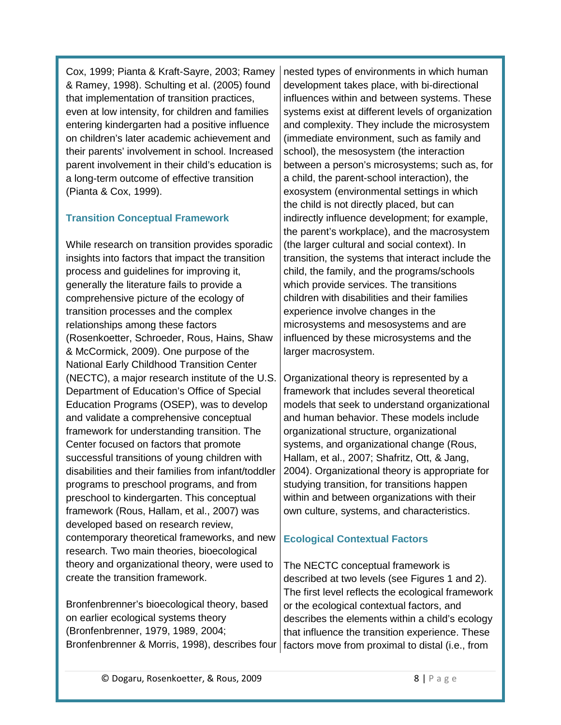Cox, 1999; Pianta & Kraft-Sayre, 2003; Ramey & Ramey, 1998). Schulting et al. (2005) found that implementation of transition practices, even at low intensity, for children and families entering kindergarten had a positive influence on children's later academic achievement and their parents' involvement in school. Increased parent involvement in their child's education is a long-term outcome of effective transition (Pianta & Cox, 1999).

#### <span id="page-7-0"></span>**Transition Conceptual Framework**

While research on transition provides sporadic insights into factors that impact the transition process and guidelines for improving it, generally the literature fails to provide a comprehensive picture of the ecology of transition processes and the complex relationships among these factors (Rosenkoetter, Schroeder, Rous, Hains, Shaw & McCormick, 2009). One purpose of the National Early Childhood Transition Center (NECTC), a major research institute of the U.S. Department of Education's Office of Special Education Programs (OSEP), was to develop and validate a comprehensive conceptual framework for understanding transition. The Center focused on factors that promote successful transitions of young children with disabilities and their families from infant/toddler programs to preschool programs, and from preschool to kindergarten. This conceptual framework (Rous, Hallam, et al., 2007) was developed based on research review, contemporary theoretical frameworks, and new research. Two main theories, bioecological theory and organizational theory, were used to create the transition framework.

Bronfenbrenner's bioecological theory, based on earlier ecological systems theory (Bronfenbrenner, 1979, 1989, 2004;

nested types of environments in which human development takes place, with bi-directional influences within and between systems. These systems exist at different levels of organization and complexity. They include the microsystem (immediate environment, such as family and school), the mesosystem (the interaction between a person's microsystems; such as, for a child, the parent-school interaction), the exosystem (environmental settings in which the child is not directly placed, but can indirectly influence development; for example, the parent's workplace), and the macrosystem (the larger cultural and social context). In transition, the systems that interact include the child, the family, and the programs/schools which provide services. The transitions children with disabilities and their families experience involve changes in the microsystems and mesosystems and are influenced by these microsystems and the larger macrosystem.

Organizational theory is represented by a framework that includes several theoretical models that seek to understand organizational and human behavior. These models include organizational structure, organizational systems, and organizational change (Rous, Hallam, et al., 2007; Shafritz, Ott, & Jang, 2004). Organizational theory is appropriate for studying transition, for transitions happen within and between organizations with their own culture, systems, and characteristics.

## <span id="page-7-1"></span>**Ecological Contextual Factors**

Bronfenbrenner & Morris, 1998), describes four factors move from proximal to distal (i.e., from The NECTC conceptual framework is described at two levels (see Figures 1 and 2). The first level reflects the ecological framework or the ecological contextual factors, and describes the elements within a child's ecology that influence the transition experience. These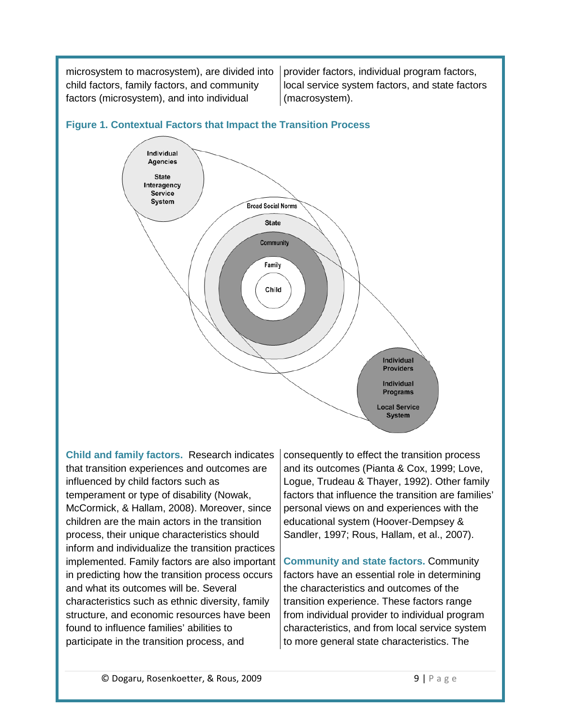microsystem to macrosystem), are divided into child factors, family factors, and community factors (microsystem), and into individual

provider factors, individual program factors, local service system factors, and state factors (macrosystem).



### **Figure 1. Contextual Factors that Impact the Transition Process**

<span id="page-8-0"></span>**Child and family factors.** Research indicates that transition experiences and outcomes are influenced by child factors such as temperament or type of disability (Nowak, McCormick, & Hallam, 2008). Moreover, since children are the main actors in the transition process, their unique characteristics should inform and individualize the transition practices implemented. Family factors are also important in predicting how the transition process occurs and what its outcomes will be. Several characteristics such as ethnic diversity, family structure, and economic resources have been found to influence families' abilities to participate in the transition process, and

consequently to effect the transition process and its outcomes (Pianta & Cox, 1999; Love, Logue, Trudeau & Thayer, 1992). Other family factors that influence the transition are families' personal views on and experiences with the educational system (Hoover-Dempsey & Sandler, 1997; Rous, Hallam, et al., 2007).

<span id="page-8-1"></span>**Community and state factors.** Community factors have an essential role in determining the characteristics and outcomes of the transition experience. These factors range from individual provider to individual program characteristics, and from local service system to more general state characteristics. The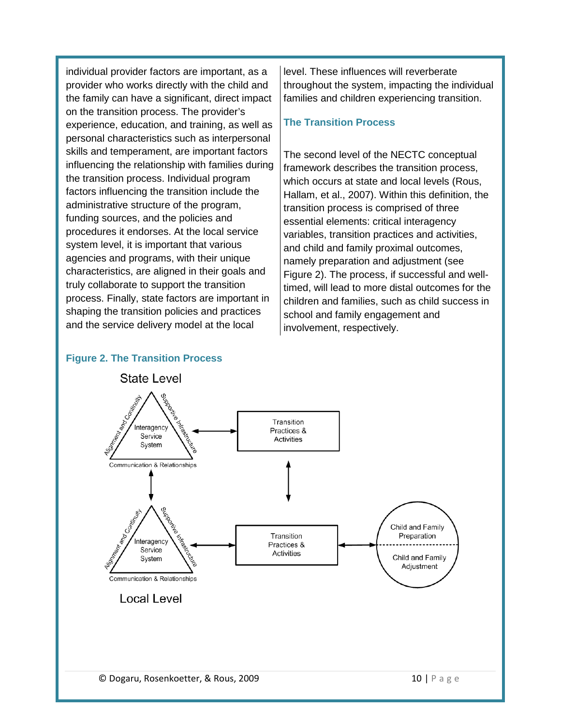individual provider factors are important, as a provider who works directly with the child and the family can have a significant, direct impact on the transition process. The provider's experience, education, and training, as well as personal characteristics such as interpersonal skills and temperament, are important factors influencing the relationship with families during the transition process. Individual program factors influencing the transition include the administrative structure of the program, funding sources, and the policies and procedures it endorses. At the local service system level, it is important that various agencies and programs, with their unique characteristics, are aligned in their goals and truly collaborate to support the transition process. Finally, state factors are important in shaping the transition policies and practices and the service delivery model at the local

level. These influences will reverberate throughout the system, impacting the individual families and children experiencing transition.

#### <span id="page-9-0"></span>**The Transition Process**

The second level of the NECTC conceptual framework describes the transition process, which occurs at state and local levels (Rous, Hallam, et al., 2007). Within this definition, the transition process is comprised of three essential elements: critical interagency variables, transition practices and activities, and child and family proximal outcomes, namely preparation and adjustment (see Figure 2). The process, if successful and welltimed, will lead to more distal outcomes for the children and families, such as child success in school and family engagement and involvement, respectively.

#### **Figure 2. The Transition Process**

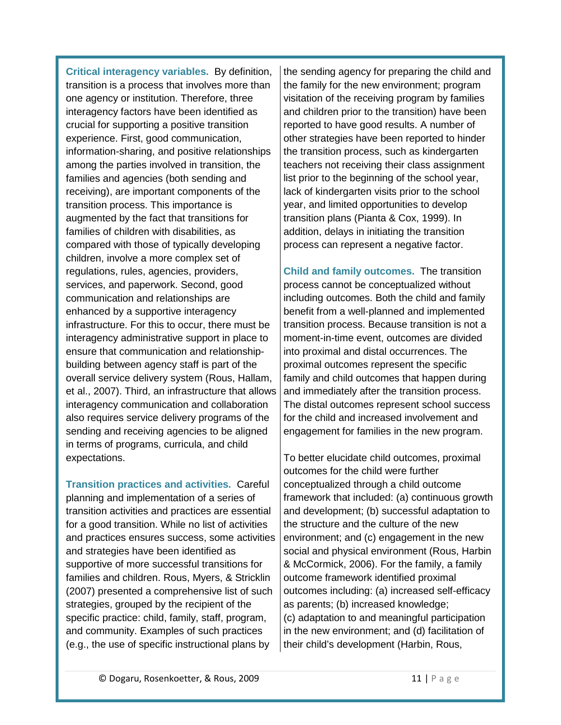<span id="page-10-0"></span>**Critical interagency variables.** By definition, transition is a process that involves more than one agency or institution. Therefore, three interagency factors have been identified as crucial for supporting a positive transition experience. First, good communication, information-sharing, and positive relationships among the parties involved in transition, the families and agencies (both sending and receiving), are important components of the transition process. This importance is augmented by the fact that transitions for families of children with disabilities, as compared with those of typically developing children, involve a more complex set of regulations, rules, agencies, providers, services, and paperwork. Second, good communication and relationships are enhanced by a supportive interagency infrastructure. For this to occur, there must be interagency administrative support in place to ensure that communication and relationshipbuilding between agency staff is part of the overall service delivery system (Rous, Hallam, et al., 2007). Third, an infrastructure that allows interagency communication and collaboration also requires service delivery programs of the sending and receiving agencies to be aligned in terms of programs, curricula, and child expectations.

<span id="page-10-1"></span>**Transition practices and activities.** Careful planning and implementation of a series of transition activities and practices are essential for a good transition. While no list of activities and practices ensures success, some activities and strategies have been identified as supportive of more successful transitions for families and children. Rous, Myers, & Stricklin (2007) presented a comprehensive list of such strategies, grouped by the recipient of the specific practice: child, family, staff, program, and community. Examples of such practices (e.g., the use of specific instructional plans by

the sending agency for preparing the child and the family for the new environment; program visitation of the receiving program by families and children prior to the transition) have been reported to have good results. A number of other strategies have been reported to hinder the transition process, such as kindergarten teachers not receiving their class assignment list prior to the beginning of the school year, lack of kindergarten visits prior to the school year, and limited opportunities to develop transition plans (Pianta & Cox, 1999). In addition, delays in initiating the transition process can represent a negative factor.

<span id="page-10-2"></span>**Child and family outcomes.** The transition process cannot be conceptualized without including outcomes. Both the child and family benefit from a well-planned and implemented transition process. Because transition is not a moment-in-time event, outcomes are divided into proximal and distal occurrences. The proximal outcomes represent the specific family and child outcomes that happen during and immediately after the transition process. The distal outcomes represent school success for the child and increased involvement and engagement for families in the new program.

To better elucidate child outcomes, proximal outcomes for the child were further conceptualized through a child outcome framework that included: (a) continuous growth and development; (b) successful adaptation to the structure and the culture of the new environment; and (c) engagement in the new social and physical environment (Rous, Harbin & McCormick, 2006). For the family, a family outcome framework identified proximal outcomes including: (a) increased self-efficacy as parents; (b) increased knowledge; (c) adaptation to and meaningful participation in the new environment; and (d) facilitation of their child's development (Harbin, Rous,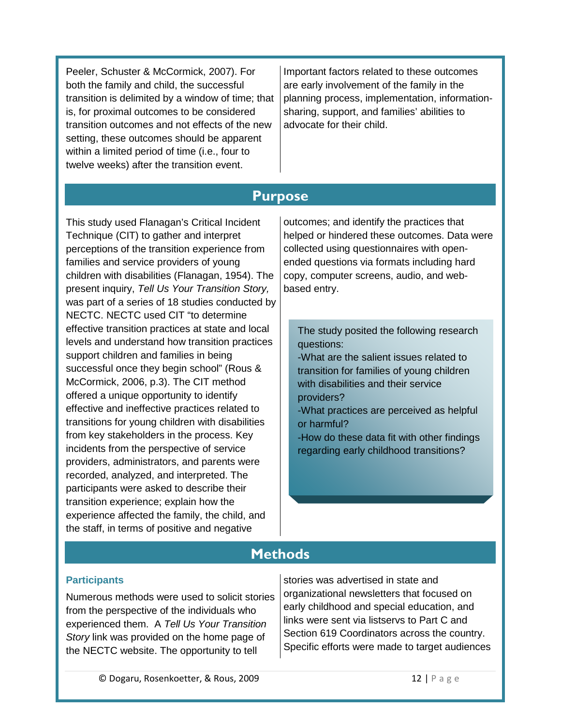Peeler, Schuster & McCormick, 2007). For both the family and child, the successful transition is delimited by a window of time; that is, for proximal outcomes to be considered transition outcomes and not effects of the new setting, these outcomes should be apparent within a limited period of time (i.e., four to twelve weeks) after the transition event.

Important factors related to these outcomes are early involvement of the family in the planning process, implementation, informationsharing, support, and families' abilities to advocate for their child.

# **Purpose**

<span id="page-11-0"></span>This study used Flanagan's Critical Incident Technique (CIT) to gather and interpret perceptions of the transition experience from families and service providers of young children with disabilities (Flanagan, 1954). The present inquiry, *Tell Us Your Transition Story,* was part of a series of 18 studies conducted by NECTC. NECTC used CIT "to determine effective transition practices at state and local levels and understand how transition practices support children and families in being successful once they begin school" (Rous & McCormick, 2006, p.3). The CIT method offered a unique opportunity to identify effective and ineffective practices related to transitions for young children with disabilities from key stakeholders in the process. Key incidents from the perspective of service providers, administrators, and parents were recorded, analyzed, and interpreted. The participants were asked to describe their transition experience; explain how the experience affected the family, the child, and the staff, in terms of positive and negative

outcomes; and identify the practices that helped or hindered these outcomes. Data were collected using questionnaires with openended questions via formats including hard copy, computer screens, audio, and webbased entry.

The study posited the following research questions:

-What are the salient issues related to transition for families of young children with disabilities and their service providers?

-What practices are perceived as helpful or harmful?

-How do these data fit with other findings regarding early childhood transitions?

# **Methods**

#### <span id="page-11-2"></span><span id="page-11-1"></span>**Participants**

Numerous methods were used to solicit stories from the perspective of the individuals who experienced them. A *Tell Us Your Transition Story* link was provided on the home page of the NECTC website. The opportunity to tell

stories was advertised in state and organizational newsletters that focused on early childhood and special education, and links were sent via listservs to Part C and Section 619 Coordinators across the country. Specific efforts were made to target audiences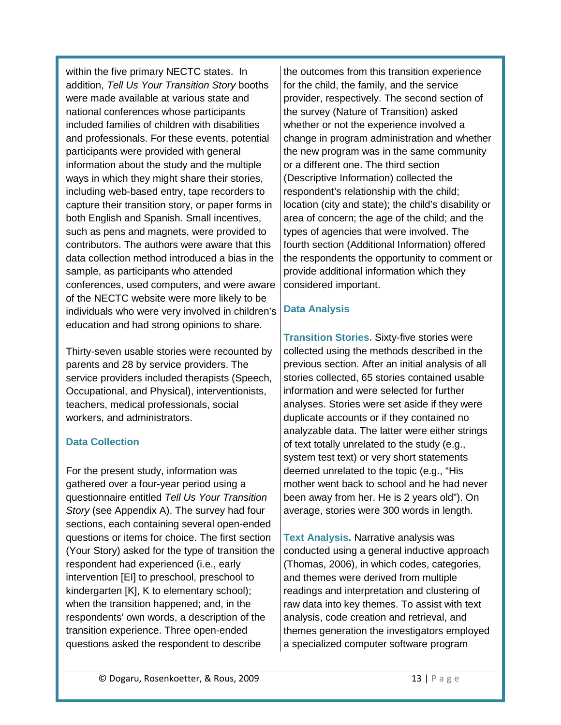within the five primary NECTC states. In addition, *Tell Us Your Transition Story* booths were made available at various state and national conferences whose participants included families of children with disabilities and professionals. For these events, potential participants were provided with general information about the study and the multiple ways in which they might share their stories, including web-based entry, tape recorders to capture their transition story, or paper forms in both English and Spanish. Small incentives, such as pens and magnets, were provided to contributors. The authors were aware that this data collection method introduced a bias in the sample, as participants who attended conferences, used computers, and were aware of the NECTC website were more likely to be individuals who were very involved in children's education and had strong opinions to share.

Thirty-seven usable stories were recounted by parents and 28 by service providers. The service providers included therapists (Speech, Occupational, and Physical), interventionists, teachers, medical professionals, social workers, and administrators.

#### <span id="page-12-0"></span>**Data Collection**

For the present study, information was gathered over a four-year period using a questionnaire entitled *Tell Us Your Transition Story* (see Appendix A). The survey had four sections, each containing several open-ended questions or items for choice. The first section (Your Story) asked for the type of transition the respondent had experienced (i.e., early intervention [EI] to preschool, preschool to kindergarten [K], K to elementary school); when the transition happened; and, in the respondents' own words, a description of the transition experience. Three open-ended questions asked the respondent to describe

the outcomes from this transition experience for the child, the family, and the service provider, respectively. The second section of the survey (Nature of Transition) asked whether or not the experience involved a change in program administration and whether the new program was in the same community or a different one. The third section (Descriptive Information) collected the respondent's relationship with the child; location (city and state); the child's disability or area of concern; the age of the child; and the types of agencies that were involved. The fourth section (Additional Information) offered the respondents the opportunity to comment or provide additional information which they considered important.

#### <span id="page-12-1"></span>**Data Analysis**

<span id="page-12-2"></span>**Transition Stories.** Sixty-five stories were collected using the methods described in the previous section. After an initial analysis of all stories collected, 65 stories contained usable information and were selected for further analyses. Stories were set aside if they were duplicate accounts or if they contained no analyzable data. The latter were either strings of text totally unrelated to the study (e.g., system test text) or very short statements deemed unrelated to the topic (e.g., "His mother went back to school and he had never been away from her. He is 2 years old"). On average, stories were 300 words in length.

<span id="page-12-3"></span>**Text Analysis.** Narrative analysis was conducted using a general inductive approach (Thomas, 2006), in which codes, categories, and themes were derived from multiple readings and interpretation and clustering of raw data into key themes. To assist with text analysis, code creation and retrieval, and themes generation the investigators employed a specialized computer software program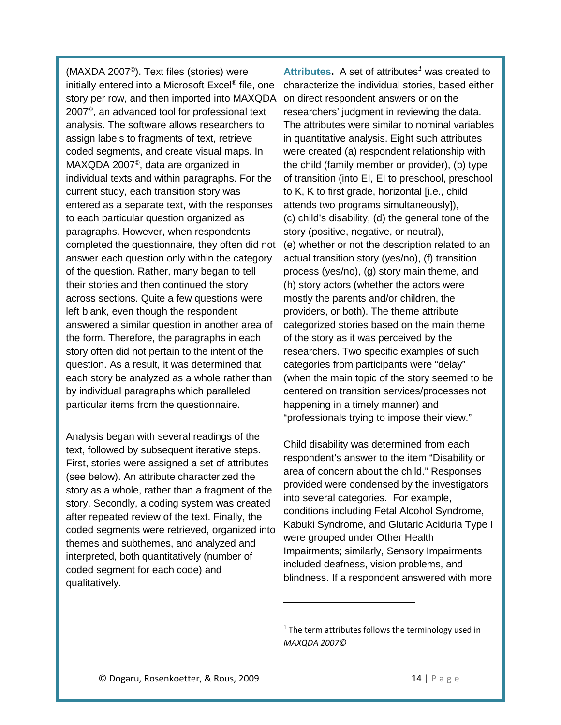(MAXDA 2007©). Text files (stories) were initially entered into a Microsoft Excel® file, one story per row, and then imported into MAXQDA 2007©, an advanced tool for professional text analysis. The software allows researchers to assign labels to fragments of text, retrieve coded segments, and create visual maps. In MAXQDA 2007©, data are organized in individual texts and within paragraphs. For the current study, each transition story was entered as a separate text, with the responses to each particular question organized as paragraphs. However, when respondents completed the questionnaire, they often did not answer each question only within the category of the question. Rather, many began to tell their stories and then continued the story across sections. Quite a few questions were left blank, even though the respondent answered a similar question in another area of the form. Therefore, the paragraphs in each story often did not pertain to the intent of the question. As a result, it was determined that each story be analyzed as a whole rather than by individual paragraphs which paralleled particular items from the questionnaire.

<span id="page-13-1"></span>Analysis began with several readings of the text, followed by subsequent iterative steps. First, stories were assigned a set of attributes (see below). An attribute characterized the story as a whole, rather than a fragment of the story. Secondly, a coding system was created after repeated review of the text. Finally, the coded segments were retrieved, organized into themes and subthemes, and analyzed and interpreted, both quantitatively (number of coded segment for each code) and qualitatively.

<span id="page-13-0"></span>**Attributes.** A set of attributes*[1](#page-13-1)* was created to characterize the individual stories, based either on direct respondent answers or on the researchers' judgment in reviewing the data. The attributes were similar to nominal variables in quantitative analysis. Eight such attributes were created (a) respondent relationship with the child (family member or provider), (b) type of transition (into EI, EI to preschool, preschool to K, K to first grade, horizontal [i.e., child attends two programs simultaneously]), (c) child's disability, (d) the general tone of the story (positive, negative, or neutral), (e) whether or not the description related to an actual transition story (yes/no), (f) transition process (yes/no), (g) story main theme, and (h) story actors (whether the actors were mostly the parents and/or children, the providers, or both). The theme attribute categorized stories based on the main theme of the story as it was perceived by the researchers. Two specific examples of such categories from participants were "delay" (when the main topic of the story seemed to be centered on transition services/processes not happening in a timely manner) and "professionals trying to impose their view."

Child disability was determined from each respondent's answer to the item "Disability or area of concern about the child." Responses provided were condensed by the investigators into several categories. For example, conditions including Fetal Alcohol Syndrome, Kabuki Syndrome, and Glutaric Aciduria Type I were grouped under Other Health Impairments; similarly, Sensory Impairments included deafness, vision problems, and blindness. If a respondent answered with more

 $1$  The term attributes follows the terminology used in *MAXQDA 2007©*

 $\overline{a}$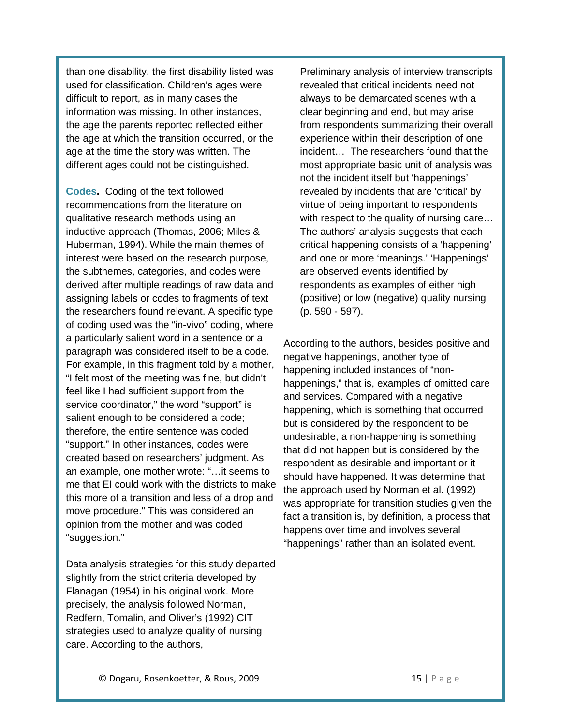than one disability, the first disability listed was used for classification. Children's ages were difficult to report, as in many cases the information was missing. In other instances, the age the parents reported reflected either the age at which the transition occurred, or the age at the time the story was written. The different ages could not be distinguished.

<span id="page-14-0"></span>**Codes.** Coding of the text followed recommendations from the literature on qualitative research methods using an inductive approach (Thomas, 2006; Miles & Huberman, 1994). While the main themes of interest were based on the research purpose, the subthemes, categories, and codes were derived after multiple readings of raw data and assigning labels or codes to fragments of text the researchers found relevant. A specific type of coding used was the "in-vivo" coding, where a particularly salient word in a sentence or a paragraph was considered itself to be a code. For example, in this fragment told by a mother, "I felt most of the meeting was fine, but didn't feel like I had sufficient support from the service coordinator," the word "support" is salient enough to be considered a code; therefore, the entire sentence was coded "support." In other instances, codes were created based on researchers' judgment. As an example, one mother wrote: "…it seems to me that EI could work with the districts to make this more of a transition and less of a drop and move procedure." This was considered an opinion from the mother and was coded "suggestion."

Data analysis strategies for this study departed slightly from the strict criteria developed by Flanagan (1954) in his original work. More precisely, the analysis followed Norman, Redfern, Tomalin, and Oliver's (1992) CIT strategies used to analyze quality of nursing care. According to the authors,

Preliminary analysis of interview transcripts revealed that critical incidents need not always to be demarcated scenes with a clear beginning and end, but may arise from respondents summarizing their overall experience within their description of one incident… The researchers found that the most appropriate basic unit of analysis was not the incident itself but 'happenings' revealed by incidents that are 'critical' by virtue of being important to respondents with respect to the quality of nursing care... The authors' analysis suggests that each critical happening consists of a 'happening' and one or more 'meanings.' 'Happenings' are observed events identified by respondents as examples of either high (positive) or low (negative) quality nursing (p. 590 - 597).

According to the authors, besides positive and negative happenings, another type of happening included instances of "nonhappenings," that is, examples of omitted care and services. Compared with a negative happening, which is something that occurred but is considered by the respondent to be undesirable, a non-happening is something that did not happen but is considered by the respondent as desirable and important or it should have happened. It was determine that the approach used by Norman et al. (1992) was appropriate for transition studies given the fact a transition is, by definition, a process that happens over time and involves several "happenings" rather than an isolated event.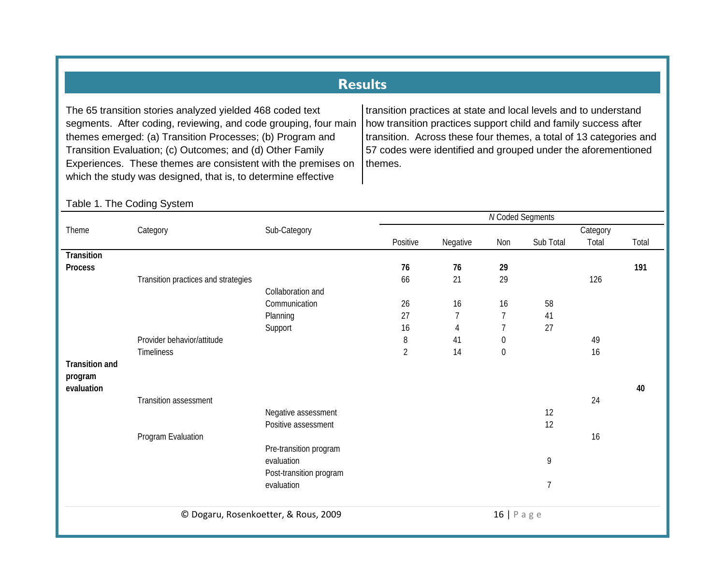# **Results**

The 65 transition stories analyzed yielded 468 coded text segments. After coding, reviewing, and code grouping, four main themes emerged: (a) Transition Processes; (b) Program and Transition Evaluation; (c) Outcomes; and (d) Other Family Experiences. These themes are consistent with the premises on which the study was designed, that is, to determine effective

transition practices at state and local levels and to understand how transition practices support child and family success after transition. Across these four themes, a total of 13 categories and 57 codes were identified and grouped under the aforementioned themes.

#### <span id="page-15-0"></span>© Dogaru, Rosenkoetter, & Rous, 2009 16 | Page *N* Coded Segments Theme Category Category Sub-Category Positive Negative Non Sub Total Category Total Total **Transition Process 76 76 29 191** Transition practices and strategies and strategies and strategies and strategies of the control of the control of the control of the control of the control of the control of the control of the control of the control of the Collaboration and Communication 26 16 16 58 Planning 27 7 7 41 Support 16 4 7 27 Provider behavior/attitude and the set of the set of the set of the set of the set of the set of the set of the set of the set of the set of the set of the set of the set of the set of the set of the set of the set of the Timeliness 2 14 0 16 **Transition and program evaluation 40** Transition assessment 24 Negative assessment 12 Positive assessment 12 **Program Evaluation** 16 Pre-transition program evaluation 9 Post-transition program evaluation and the second service of the service of the service of the service of the service of the series of the service of the series of the series of the series of the series of the series of the series of the series o

#### Table 1. The Coding System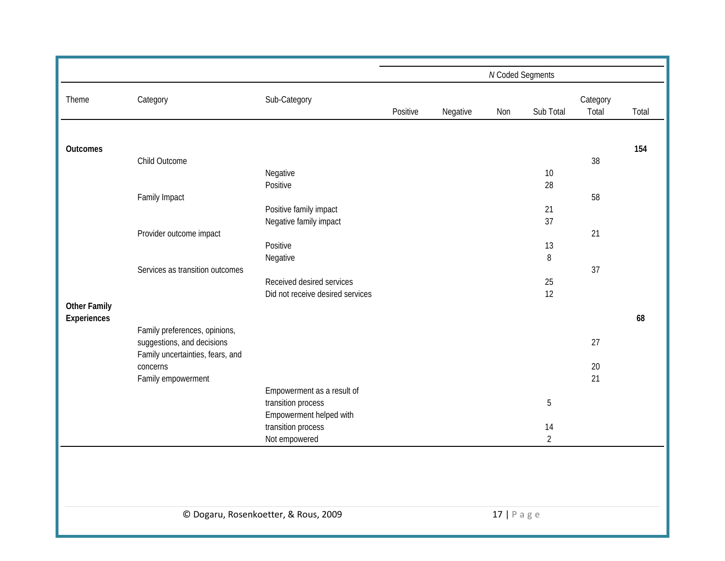|                     |                                  |                                      | N Coded Segments |          |                |                |                   |       |  |
|---------------------|----------------------------------|--------------------------------------|------------------|----------|----------------|----------------|-------------------|-------|--|
| Theme               | Category                         | Sub-Category                         | Positive         | Negative | Non            | Sub Total      | Category<br>Total | Total |  |
|                     |                                  |                                      |                  |          |                |                |                   |       |  |
| <b>Outcomes</b>     | Child Outcome                    |                                      |                  |          |                |                | 38                | 154   |  |
|                     |                                  | Negative                             |                  |          |                | 10             |                   |       |  |
|                     |                                  | Positive                             |                  |          |                | 28             |                   |       |  |
|                     | Family Impact                    |                                      |                  |          |                |                | 58                |       |  |
|                     |                                  | Positive family impact               |                  |          |                | 21             |                   |       |  |
|                     |                                  | Negative family impact               |                  |          |                | 37             |                   |       |  |
|                     | Provider outcome impact          |                                      |                  |          |                |                | 21                |       |  |
|                     |                                  | Positive                             |                  |          |                | 13             |                   |       |  |
|                     | Services as transition outcomes  | Negative                             |                  |          |                | $\, 8$         | 37                |       |  |
|                     |                                  | Received desired services            |                  |          |                | 25             |                   |       |  |
|                     |                                  | Did not receive desired services     |                  |          |                | 12             |                   |       |  |
| <b>Other Family</b> |                                  |                                      |                  |          |                |                |                   |       |  |
| Experiences         |                                  |                                      |                  |          |                |                |                   | 68    |  |
|                     | Family preferences, opinions,    |                                      |                  |          |                |                |                   |       |  |
|                     | suggestions, and decisions       |                                      |                  |          |                |                | 27                |       |  |
|                     | Family uncertainties, fears, and |                                      |                  |          |                |                |                   |       |  |
|                     | concerns<br>Family empowerment   |                                      |                  |          |                |                | 20<br>21          |       |  |
|                     |                                  | Empowerment as a result of           |                  |          |                |                |                   |       |  |
|                     |                                  | transition process                   |                  |          |                | 5              |                   |       |  |
|                     |                                  | Empowerment helped with              |                  |          |                |                |                   |       |  |
|                     |                                  | transition process                   |                  |          |                | 14             |                   |       |  |
|                     |                                  | Not empowered                        |                  |          |                | $\overline{2}$ |                   |       |  |
|                     |                                  |                                      |                  |          |                |                |                   |       |  |
|                     |                                  |                                      |                  |          |                |                |                   |       |  |
|                     |                                  |                                      |                  |          |                |                |                   |       |  |
|                     |                                  |                                      |                  |          |                |                |                   |       |  |
|                     |                                  | © Dogaru, Rosenkoetter, & Rous, 2009 |                  |          | $17$   P a g e |                |                   |       |  |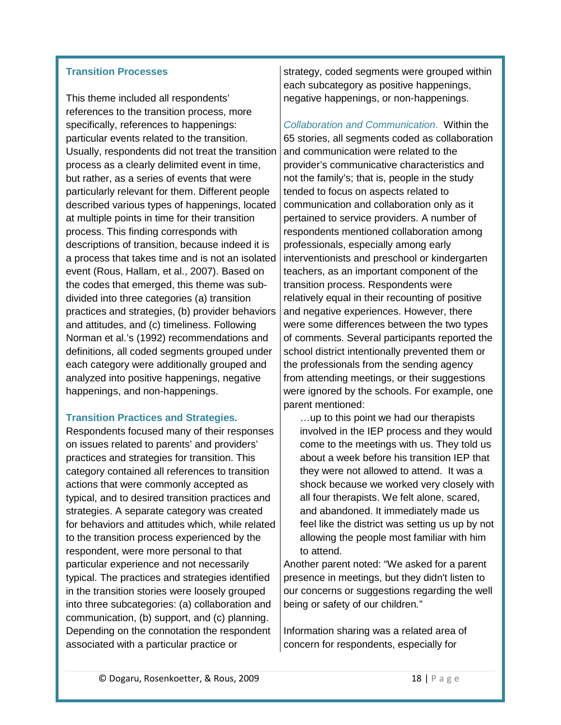#### <span id="page-17-0"></span>**Transition Processes**

This theme included all respondents' references to the transition process, more specifically, references to happenings: particular events related to the transition. Usually, respondents did not treat the transition process as a clearly delimited event in time, but rather, as a series of events that were particularly relevant for them. Different people described various types of happenings, located at multiple points in time for their transition process. This finding corresponds with descriptions of transition, because indeed it is a process that takes time and is not an isolated event (Rous, Hallam, et al., 2007). Based on the codes that emerged, this theme was subdivided into three categories (a) transition practices and strategies, (b) provider behaviors and attitudes, and (c) timeliness. Following Norman et al.'s (1992) recommendations and definitions, all coded segments grouped under each category were additionally grouped and analyzed into positive happenings, negative happenings, and non-happenings.

#### <span id="page-17-1"></span>**Transition Practices and Strategies.**

Respondents focused many of their responses on issues related to parents' and providers' practices and strategies for transition. This category contained all references to transition actions that were commonly accepted as typical, and to desired transition practices and strategies. A separate category was created for behaviors and attitudes which, while related to the transition process experienced by the respondent, were more personal to that particular experience and not necessarily typical. The practices and strategies identified in the transition stories were loosely grouped into three subcategories: (a) collaboration and communication, (b) support, and (c) planning. Depending on the connotation the respondent associated with a particular practice or

strategy, coded segments were grouped within each subcategory as positive happenings, negative happenings, or non-happenings.

<span id="page-17-2"></span>*Collaboration and Communication*. Within the 65 stories, all segments coded as collaboration and communication were related to the provider's communicative characteristics and not the family's; that is, people in the study tended to focus on aspects related to communication and collaboration only as it pertained to service providers. A number of respondents mentioned collaboration among professionals, especially among early interventionists and preschool or kindergarten teachers, as an important component of the transition process. Respondents were relatively equal in their recounting of positive and negative experiences. However, there were some differences between the two types of comments. Several participants reported the school district intentionally prevented them or the professionals from the sending agency from attending meetings, or their suggestions were ignored by the schools. For example, one parent mentioned:

…up to this point we had our therapists involved in the IEP process and they would come to the meetings with us. They told us about a week before his transition IEP that they were not allowed to attend. It was a shock because we worked very closely with all four therapists. We felt alone, scared, and abandoned. It immediately made us feel like the district was setting us up by not allowing the people most familiar with him to attend.

Another parent noted: "We asked for a parent presence in meetings, but they didn't listen to our concerns or suggestions regarding the well being or safety of our children*.*"

Information sharing was a related area of concern for respondents, especially for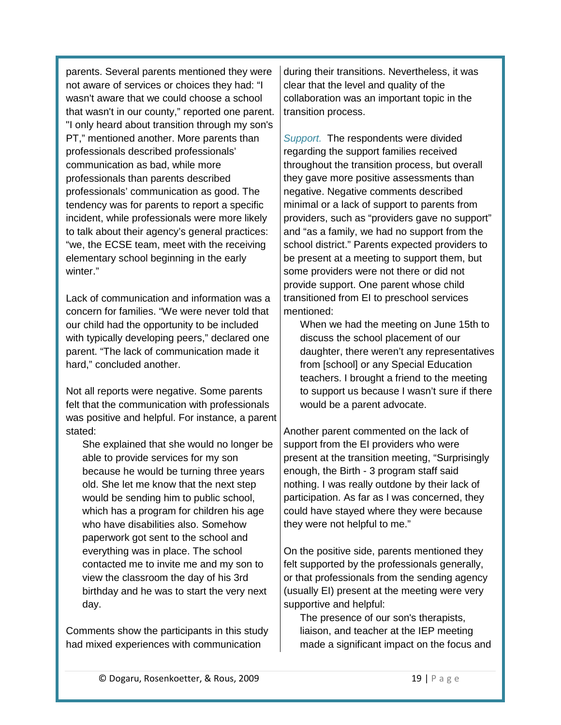parents. Several parents mentioned they were not aware of services or choices they had: "I wasn't aware that we could choose a school that wasn't in our county," reported one parent. "I only heard about transition through my son's PT," mentioned another. More parents than professionals described professionals' communication as bad, while more professionals than parents described professionals' communication as good. The tendency was for parents to report a specific incident, while professionals were more likely to talk about their agency's general practices: "we, the ECSE team, meet with the receiving elementary school beginning in the early winter."

Lack of communication and information was a concern for families. "We were never told that our child had the opportunity to be included with typically developing peers," declared one parent. "The lack of communication made it hard," concluded another.

Not all reports were negative. Some parents felt that the communication with professionals was positive and helpful. For instance, a parent stated:

She explained that she would no longer be able to provide services for my son because he would be turning three years old. She let me know that the next step would be sending him to public school, which has a program for children his age who have disabilities also. Somehow paperwork got sent to the school and everything was in place. The school contacted me to invite me and my son to view the classroom the day of his 3rd birthday and he was to start the very next day.

Comments show the participants in this study had mixed experiences with communication

during their transitions. Nevertheless, it was clear that the level and quality of the collaboration was an important topic in the transition process.

<span id="page-18-0"></span>*Support.* The respondents were divided regarding the support families received throughout the transition process, but overall they gave more positive assessments than negative. Negative comments described minimal or a lack of support to parents from providers, such as "providers gave no support" and "as a family, we had no support from the school district." Parents expected providers to be present at a meeting to support them, but some providers were not there or did not provide support. One parent whose child transitioned from EI to preschool services mentioned:

When we had the meeting on June 15th to discuss the school placement of our daughter, there weren't any representatives from [school] or any Special Education teachers. I brought a friend to the meeting to support us because I wasn't sure if there would be a parent advocate.

Another parent commented on the lack of support from the EI providers who were present at the transition meeting, "Surprisingly enough, the Birth - 3 program staff said nothing. I was really outdone by their lack of participation. As far as I was concerned, they could have stayed where they were because they were not helpful to me."

On the positive side, parents mentioned they felt supported by the professionals generally, or that professionals from the sending agency (usually EI) present at the meeting were very supportive and helpful:

The presence of our son's therapists, liaison, and teacher at the IEP meeting made a significant impact on the focus and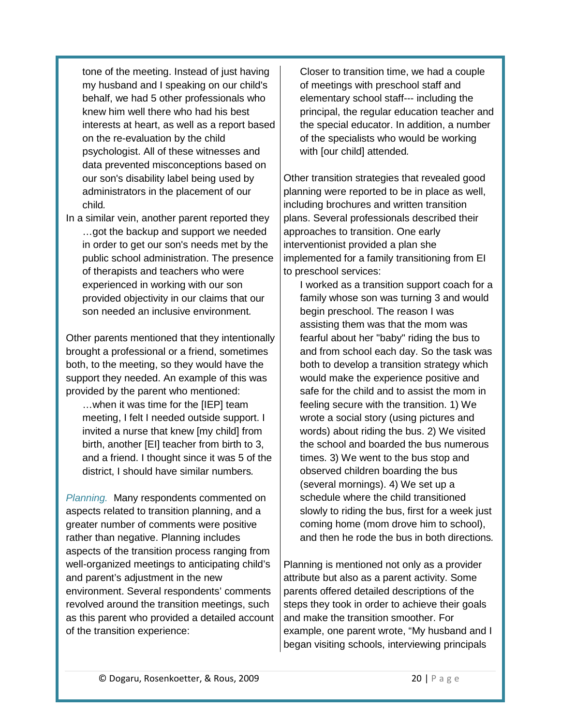tone of the meeting. Instead of just having my husband and I speaking on our child's behalf, we had 5 other professionals who knew him well there who had his best interests at heart, as well as a report based on the re-evaluation by the child psychologist. All of these witnesses and data prevented misconceptions based on our son's disability label being used by administrators in the placement of our child*.*

In a similar vein, another parent reported they …got the backup and support we needed in order to get our son's needs met by the public school administration. The presence of therapists and teachers who were experienced in working with our son provided objectivity in our claims that our son needed an inclusive environment*.* 

Other parents mentioned that they intentionally brought a professional or a friend, sometimes both, to the meeting, so they would have the support they needed. An example of this was provided by the parent who mentioned:

…when it was time for the [IEP] team meeting, I felt I needed outside support. I invited a nurse that knew [my child] from birth, another [EI] teacher from birth to 3, and a friend. I thought since it was 5 of the district, I should have similar numbers*.* 

<span id="page-19-0"></span>*Planning.* Many respondents commented on aspects related to transition planning, and a greater number of comments were positive rather than negative. Planning includes aspects of the transition process ranging from well-organized meetings to anticipating child's and parent's adjustment in the new environment. Several respondents' comments revolved around the transition meetings, such as this parent who provided a detailed account of the transition experience:

Closer to transition time, we had a couple of meetings with preschool staff and elementary school staff--- including the principal, the regular education teacher and the special educator. In addition, a number of the specialists who would be working with [our child] attended*.*

Other transition strategies that revealed good planning were reported to be in place as well, including brochures and written transition plans. Several professionals described their approaches to transition. One early interventionist provided a plan she implemented for a family transitioning from EI to preschool services:

I worked as a transition support coach for a family whose son was turning 3 and would begin preschool. The reason I was assisting them was that the mom was fearful about her "baby" riding the bus to and from school each day. So the task was both to develop a transition strategy which would make the experience positive and safe for the child and to assist the mom in feeling secure with the transition. 1) We wrote a social story (using pictures and words) about riding the bus. 2) We visited the school and boarded the bus numerous times. 3) We went to the bus stop and observed children boarding the bus (several mornings). 4) We set up a schedule where the child transitioned slowly to riding the bus, first for a week just coming home (mom drove him to school), and then he rode the bus in both directions*.*

Planning is mentioned not only as a provider attribute but also as a parent activity. Some parents offered detailed descriptions of the steps they took in order to achieve their goals and make the transition smoother. For example, one parent wrote, "My husband and I began visiting schools, interviewing principals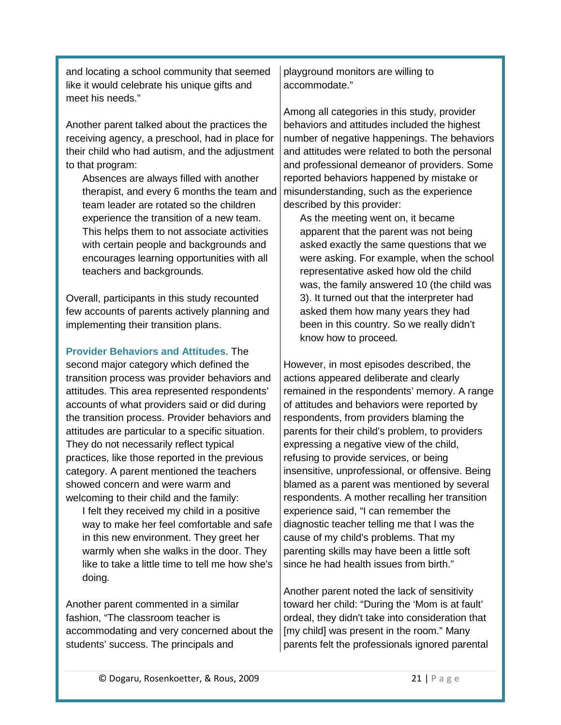and locating a school community that seemed like it would celebrate his unique gifts and meet his needs."

Another parent talked about the practices the receiving agency, a preschool, had in place for their child who had autism, and the adjustment to that program:

Absences are always filled with another therapist, and every 6 months the team and team leader are rotated so the children experience the transition of a new team. This helps them to not associate activities with certain people and backgrounds and encourages learning opportunities with all teachers and backgrounds*.* 

Overall, participants in this study recounted few accounts of parents actively planning and implementing their transition plans.

<span id="page-20-0"></span>**Provider Behaviors and Attitudes**. The second major category which defined the transition process was provider behaviors and attitudes. This area represented respondents' accounts of what providers said or did during the transition process. Provider behaviors and attitudes are particular to a specific situation. They do not necessarily reflect typical practices, like those reported in the previous category. A parent mentioned the teachers showed concern and were warm and welcoming to their child and the family:

I felt they received my child in a positive way to make her feel comfortable and safe in this new environment. They greet her warmly when she walks in the door. They like to take a little time to tell me how she's doing*.*

Another parent commented in a similar fashion, "The classroom teacher is accommodating and very concerned about the students' success. The principals and

playground monitors are willing to accommodate."

Among all categories in this study, provider behaviors and attitudes included the highest number of negative happenings. The behaviors and attitudes were related to both the personal and professional demeanor of providers. Some reported behaviors happened by mistake or misunderstanding, such as the experience described by this provider:

As the meeting went on, it became apparent that the parent was not being asked exactly the same questions that we were asking. For example, when the school representative asked how old the child was, the family answered 10 (the child was 3). It turned out that the interpreter had asked them how many years they had been in this country. So we really didn't know how to proceed*.*

However, in most episodes described, the actions appeared deliberate and clearly remained in the respondents' memory. A range of attitudes and behaviors were reported by respondents, from providers blaming the parents for their child's problem, to providers expressing a negative view of the child, refusing to provide services, or being insensitive, unprofessional, or offensive. Being blamed as a parent was mentioned by several respondents. A mother recalling her transition experience said, "I can remember the diagnostic teacher telling me that I was the cause of my child's problems. That my parenting skills may have been a little soft since he had health issues from birth."

Another parent noted the lack of sensitivity toward her child: "During the 'Mom is at fault' ordeal, they didn't take into consideration that [my child] was present in the room." Many parents felt the professionals ignored parental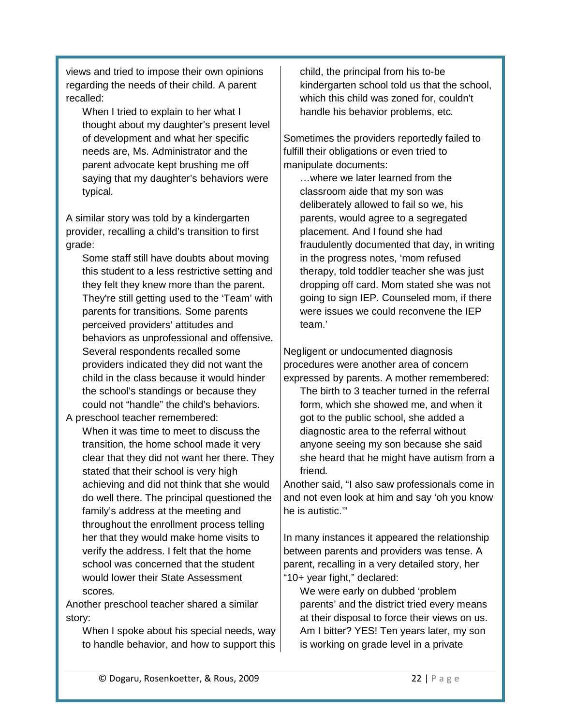views and tried to impose their own opinions regarding the needs of their child. A parent recalled:

When I tried to explain to her what I thought about my daughter's present level of development and what her specific needs are, Ms. Administrator and the parent advocate kept brushing me off saying that my daughter's behaviors were typical*.*

A similar story was told by a kindergarten provider, recalling a child's transition to first grade:

Some staff still have doubts about moving this student to a less restrictive setting and they felt they knew more than the parent. They're still getting used to the 'Team' with parents for transitions*.* Some parents perceived providers' attitudes and behaviors as unprofessional and offensive. Several respondents recalled some providers indicated they did not want the child in the class because it would hinder the school's standings or because they could not "handle" the child's behaviors.

A preschool teacher remembered: When it was time to meet to discuss the transition, the home school made it very clear that they did not want her there. They stated that their school is very high achieving and did not think that she would do well there. The principal questioned the family's address at the meeting and throughout the enrollment process telling her that they would make home visits to verify the address. I felt that the home school was concerned that the student would lower their State Assessment scores*.* 

Another preschool teacher shared a similar story:

When I spoke about his special needs, way to handle behavior, and how to support this child, the principal from his to-be kindergarten school told us that the school, which this child was zoned for, couldn't handle his behavior problems, etc*.* 

Sometimes the providers reportedly failed to fulfill their obligations or even tried to manipulate documents:

…where we later learned from the classroom aide that my son was deliberately allowed to fail so we, his parents, would agree to a segregated placement. And I found she had fraudulently documented that day, in writing in the progress notes, 'mom refused therapy, told toddler teacher she was just dropping off card. Mom stated she was not going to sign IEP. Counseled mom, if there were issues we could reconvene the IEP team.'

Negligent or undocumented diagnosis procedures were another area of concern expressed by parents. A mother remembered:

The birth to 3 teacher turned in the referral form, which she showed me, and when it got to the public school, she added a diagnostic area to the referral without anyone seeing my son because she said she heard that he might have autism from a friend*.* 

Another said, "I also saw professionals come in and not even look at him and say 'oh you know he is autistic.'"

In many instances it appeared the relationship between parents and providers was tense. A parent, recalling in a very detailed story, her "10+ year fight," declared:

We were early on dubbed 'problem parents' and the district tried every means at their disposal to force their views on us. Am I bitter? YES! Ten years later, my son is working on grade level in a private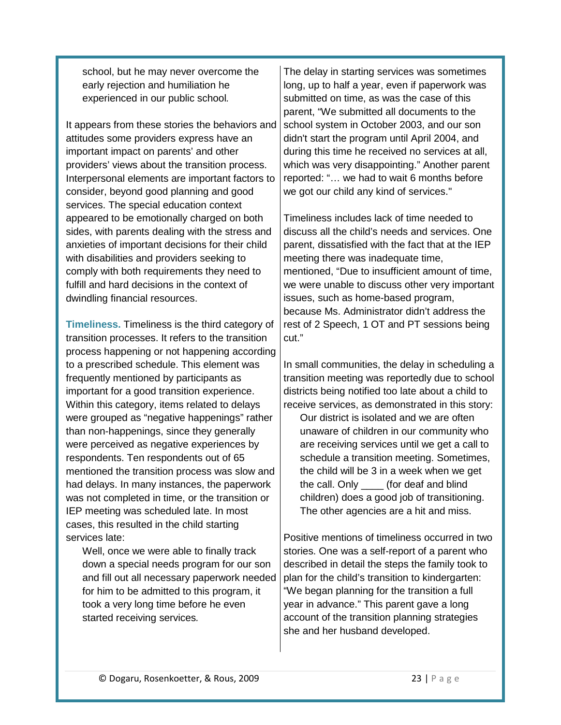school, but he may never overcome the early rejection and humiliation he experienced in our public school*.* The delay in starting services was sometimes long, up to half a year, even if paperwork was submitted on time, as was the case of this

It appears from these stories the behaviors and attitudes some providers express have an important impact on parents' and other providers' views about the transition process. Interpersonal elements are important factors to consider, beyond good planning and good services. The special education context appeared to be emotionally charged on both sides, with parents dealing with the stress and anxieties of important decisions for their child with disabilities and providers seeking to comply with both requirements they need to fulfill and hard decisions in the context of dwindling financial resources.

<span id="page-22-0"></span>**Timeliness.** Timeliness is the third category of transition processes. It refers to the transition process happening or not happening according to a prescribed schedule. This element was frequently mentioned by participants as important for a good transition experience. Within this category, items related to delays were grouped as "negative happenings" rather than non-happenings, since they generally were perceived as negative experiences by respondents. Ten respondents out of 65 mentioned the transition process was slow and had delays. In many instances, the paperwork was not completed in time, or the transition or IEP meeting was scheduled late. In most cases, this resulted in the child starting services late:

Well, once we were able to finally track down a special needs program for our son and fill out all necessary paperwork needed for him to be admitted to this program, it took a very long time before he even started receiving services*.* 

parent, "We submitted all documents to the school system in October 2003, and our son didn't start the program until April 2004, and during this time he received no services at all, which was very disappointing." Another parent reported: "… we had to wait 6 months before we got our child any kind of services."

Timeliness includes lack of time needed to discuss all the child's needs and services. One parent, dissatisfied with the fact that at the IEP meeting there was inadequate time, mentioned, "Due to insufficient amount of time, we were unable to discuss other very important issues, such as home-based program, because Ms. Administrator didn't address the rest of 2 Speech, 1 OT and PT sessions being cut."

In small communities, the delay in scheduling a transition meeting was reportedly due to school districts being notified too late about a child to receive services, as demonstrated in this story:

Our district is isolated and we are often unaware of children in our community who are receiving services until we get a call to schedule a transition meeting. Sometimes, the child will be 3 in a week when we get the call. Only \_\_\_\_ (for deaf and blind children) does a good job of transitioning. The other agencies are a hit and miss.

Positive mentions of timeliness occurred in two stories. One was a self-report of a parent who described in detail the steps the family took to plan for the child's transition to kindergarten: "We began planning for the transition a full year in advance." This parent gave a long account of the transition planning strategies she and her husband developed.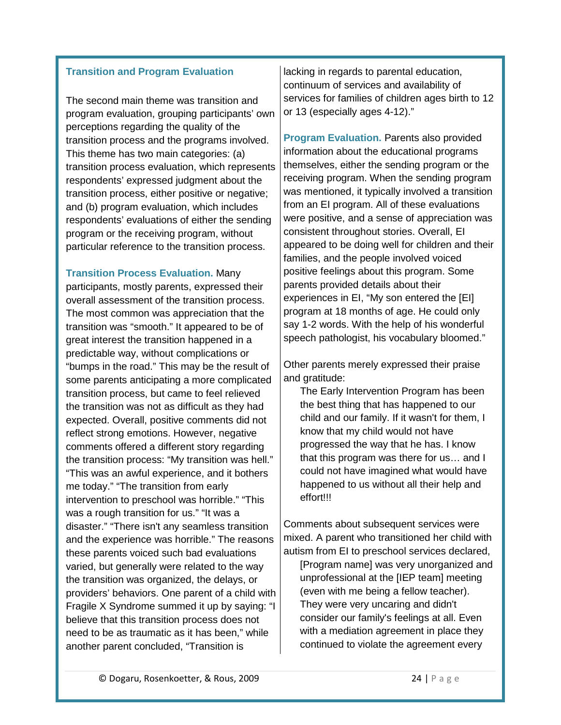#### <span id="page-23-0"></span>**Transition and Program Evaluation**

The second main theme was transition and program evaluation, grouping participants' own perceptions regarding the quality of the transition process and the programs involved. This theme has two main categories: (a) transition process evaluation, which represents respondents' expressed judgment about the transition process, either positive or negative; and (b) program evaluation, which includes respondents' evaluations of either the sending program or the receiving program, without particular reference to the transition process.

<span id="page-23-1"></span>**Transition Process Evaluation.** Many participants, mostly parents, expressed their overall assessment of the transition process. The most common was appreciation that the transition was "smooth." It appeared to be of great interest the transition happened in a predictable way, without complications or "bumps in the road." This may be the result of some parents anticipating a more complicated transition process, but came to feel relieved the transition was not as difficult as they had expected. Overall, positive comments did not reflect strong emotions. However, negative comments offered a different story regarding the transition process: "My transition was hell." "This was an awful experience, and it bothers me today." "The transition from early intervention to preschool was horrible." "This was a rough transition for us." "It was a disaster." "There isn't any seamless transition and the experience was horrible." The reasons these parents voiced such bad evaluations varied, but generally were related to the way the transition was organized, the delays, or providers' behaviors. One parent of a child with Fragile X Syndrome summed it up by saying: "I believe that this transition process does not need to be as traumatic as it has been," while another parent concluded, "Transition is

lacking in regards to parental education, continuum of services and availability of services for families of children ages birth to 12 or 13 (especially ages 4-12)."

<span id="page-23-2"></span>**Program Evaluation.** Parents also provided information about the educational programs themselves, either the sending program or the receiving program. When the sending program was mentioned, it typically involved a transition from an EI program. All of these evaluations were positive, and a sense of appreciation was consistent throughout stories. Overall, EI appeared to be doing well for children and their families, and the people involved voiced positive feelings about this program. Some parents provided details about their experiences in EI, "My son entered the [EI] program at 18 months of age. He could only say 1-2 words. With the help of his wonderful speech pathologist, his vocabulary bloomed."

Other parents merely expressed their praise and gratitude:

The Early Intervention Program has been the best thing that has happened to our child and our family. If it wasn't for them, I know that my child would not have progressed the way that he has. I know that this program was there for us… and I could not have imagined what would have happened to us without all their help and effort!!!

Comments about subsequent services were mixed. A parent who transitioned her child with autism from EI to preschool services declared,

[Program name] was very unorganized and unprofessional at the [IEP team] meeting (even with me being a fellow teacher). They were very uncaring and didn't consider our family's feelings at all. Even with a mediation agreement in place they continued to violate the agreement every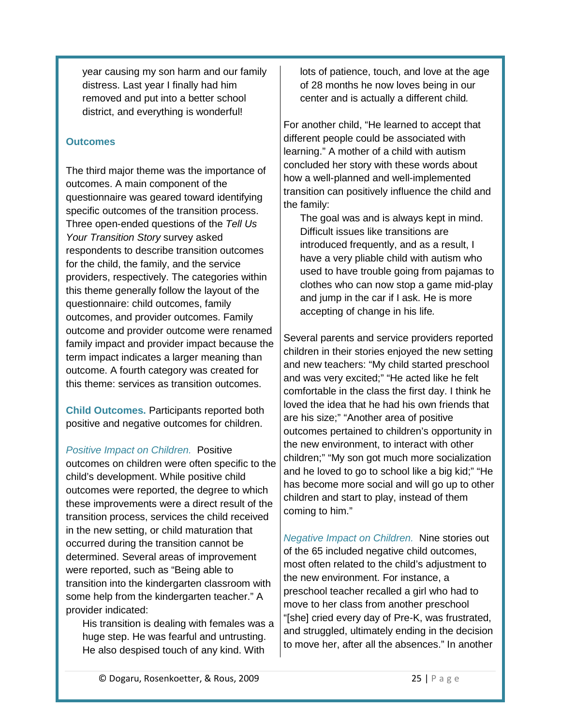year causing my son harm and our family distress. Last year I finally had him removed and put into a better school district, and everything is wonderful!

#### <span id="page-24-0"></span>**Outcomes**

The third major theme was the importance of outcomes. A main component of the questionnaire was geared toward identifying specific outcomes of the transition process. Three open-ended questions of the *Tell Us Your Transition Story* survey asked respondents to describe transition outcomes for the child, the family, and the service providers, respectively. The categories within this theme generally follow the layout of the questionnaire: child outcomes, family outcomes, and provider outcomes. Family outcome and provider outcome were renamed family impact and provider impact because the term impact indicates a larger meaning than outcome. A fourth category was created for this theme: services as transition outcomes.

<span id="page-24-1"></span>**Child Outcomes.** Participants reported both positive and negative outcomes for children.

#### <span id="page-24-2"></span>*Positive Impact on Children.* Positive

outcomes on children were often specific to the child's development. While positive child outcomes were reported, the degree to which these improvements were a direct result of the transition process, services the child received in the new setting, or child maturation that occurred during the transition cannot be determined. Several areas of improvement were reported, such as "Being able to transition into the kindergarten classroom with some help from the kindergarten teacher." A provider indicated:

His transition is dealing with females was a huge step. He was fearful and untrusting. He also despised touch of any kind. With

lots of patience, touch, and love at the age of 28 months he now loves being in our center and is actually a different child*.*

For another child, "He learned to accept that different people could be associated with learning." A mother of a child with autism concluded her story with these words about how a well-planned and well-implemented transition can positively influence the child and the family:

The goal was and is always kept in mind. Difficult issues like transitions are introduced frequently, and as a result, I have a very pliable child with autism who used to have trouble going from pajamas to clothes who can now stop a game mid-play and jump in the car if I ask. He is more accepting of change in his life*.* 

Several parents and service providers reported children in their stories enjoyed the new setting and new teachers: "My child started preschool and was very excited;" "He acted like he felt comfortable in the class the first day. I think he loved the idea that he had his own friends that are his size;" "Another area of positive outcomes pertained to children's opportunity in the new environment, to interact with other children;" "My son got much more socialization and he loved to go to school like a big kid;" "He has become more social and will go up to other children and start to play, instead of them coming to him."

<span id="page-24-3"></span>*Negative Impact on Children.* Nine stories out of the 65 included negative child outcomes, most often related to the child's adjustment to the new environment. For instance, a preschool teacher recalled a girl who had to move to her class from another preschool "[she] cried every day of Pre-K, was frustrated, and struggled, ultimately ending in the decision to move her, after all the absences." In another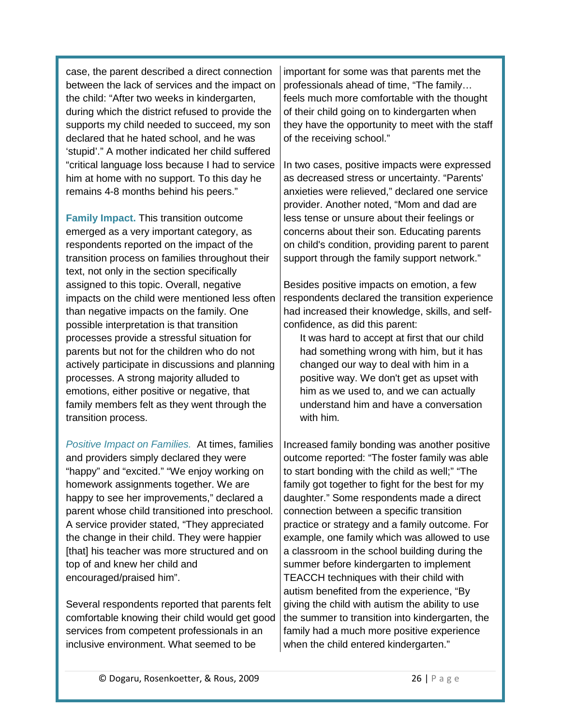case, the parent described a direct connection between the lack of services and the impact on the child: "After two weeks in kindergarten, during which the district refused to provide the supports my child needed to succeed, my son declared that he hated school, and he was 'stupid'." A mother indicated her child suffered "critical language loss because I had to service him at home with no support. To this day he remains 4-8 months behind his peers."

<span id="page-25-0"></span>**Family Impact.** This transition outcome emerged as a very important category, as respondents reported on the impact of the transition process on families throughout their text, not only in the section specifically assigned to this topic. Overall, negative impacts on the child were mentioned less often than negative impacts on the family. One possible interpretation is that transition processes provide a stressful situation for parents but not for the children who do not actively participate in discussions and planning processes. A strong majority alluded to emotions, either positive or negative, that family members felt as they went through the transition process.

<span id="page-25-1"></span>*Positive Impact on Families.* At times, families and providers simply declared they were "happy" and "excited." "We enjoy working on homework assignments together. We are happy to see her improvements," declared a parent whose child transitioned into preschool. A service provider stated, "They appreciated the change in their child. They were happier [that] his teacher was more structured and on top of and knew her child and encouraged/praised him".

Several respondents reported that parents felt comfortable knowing their child would get good services from competent professionals in an inclusive environment. What seemed to be

important for some was that parents met the professionals ahead of time, "The family… feels much more comfortable with the thought of their child going on to kindergarten when they have the opportunity to meet with the staff of the receiving school."

In two cases, positive impacts were expressed as decreased stress or uncertainty. "Parents' anxieties were relieved," declared one service provider. Another noted, "Mom and dad are less tense or unsure about their feelings or concerns about their son. Educating parents on child's condition, providing parent to parent support through the family support network."

Besides positive impacts on emotion, a few respondents declared the transition experience had increased their knowledge, skills, and selfconfidence, as did this parent:

It was hard to accept at first that our child had something wrong with him, but it has changed our way to deal with him in a positive way. We don't get as upset with him as we used to, and we can actually understand him and have a conversation with him*.*

Increased family bonding was another positive outcome reported: "The foster family was able to start bonding with the child as well;" "The family got together to fight for the best for my daughter." Some respondents made a direct connection between a specific transition practice or strategy and a family outcome. For example, one family which was allowed to use a classroom in the school building during the summer before kindergarten to implement TEACCH techniques with their child with autism benefited from the experience, "By giving the child with autism the ability to use the summer to transition into kindergarten, the family had a much more positive experience when the child entered kindergarten."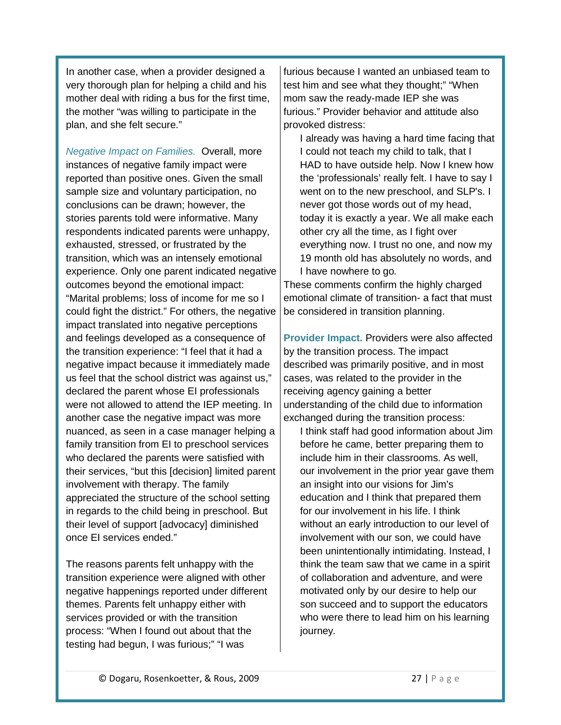In another case, when a provider designed a very thorough plan for helping a child and his mother deal with riding a bus for the first time, the mother "was willing to participate in the plan, and she felt secure."

<span id="page-26-0"></span>*Negative Impact on Families.* Overall, more instances of negative family impact were reported than positive ones. Given the small sample size and voluntary participation, no conclusions can be drawn; however, the stories parents told were informative. Many respondents indicated parents were unhappy, exhausted, stressed, or frustrated by the transition, which was an intensely emotional experience. Only one parent indicated negative outcomes beyond the emotional impact: "Marital problems; loss of income for me so I could fight the district." For others, the negative impact translated into negative perceptions and feelings developed as a consequence of the transition experience: "I feel that it had a negative impact because it immediately made us feel that the school district was against us," declared the parent whose EI professionals were not allowed to attend the IEP meeting. In another case the negative impact was more nuanced, as seen in a case manager helping a family transition from EI to preschool services who declared the parents were satisfied with their services, "but this [decision] limited parent involvement with therapy. The family appreciated the structure of the school setting in regards to the child being in preschool. But their level of support [advocacy] diminished once EI services ended."

The reasons parents felt unhappy with the transition experience were aligned with other negative happenings reported under different themes. Parents felt unhappy either with services provided or with the transition process: "When I found out about that the testing had begun, I was furious;" "I was

furious because I wanted an unbiased team to test him and see what they thought;" "When mom saw the ready-made IEP she was furious." Provider behavior and attitude also provoked distress:

I already was having a hard time facing that I could not teach my child to talk, that I HAD to have outside help. Now I knew how the 'professionals' really felt. I have to say I went on to the new preschool, and SLP's. I never got those words out of my head, today it is exactly a year. We all make each other cry all the time, as I fight over everything now. I trust no one, and now my 19 month old has absolutely no words, and I have nowhere to go*.*

These comments confirm the highly charged emotional climate of transition- a fact that must be considered in transition planning.

<span id="page-26-1"></span>**Provider Impact.** Providers were also affected by the transition process. The impact described was primarily positive, and in most cases, was related to the provider in the receiving agency gaining a better understanding of the child due to information exchanged during the transition process:

I think staff had good information about Jim before he came, better preparing them to include him in their classrooms. As well, our involvement in the prior year gave them an insight into our visions for Jim's education and I think that prepared them for our involvement in his life. I think without an early introduction to our level of involvement with our son, we could have been unintentionally intimidating. Instead, I think the team saw that we came in a spirit of collaboration and adventure, and were motivated only by our desire to help our son succeed and to support the educators who were there to lead him on his learning journey*.*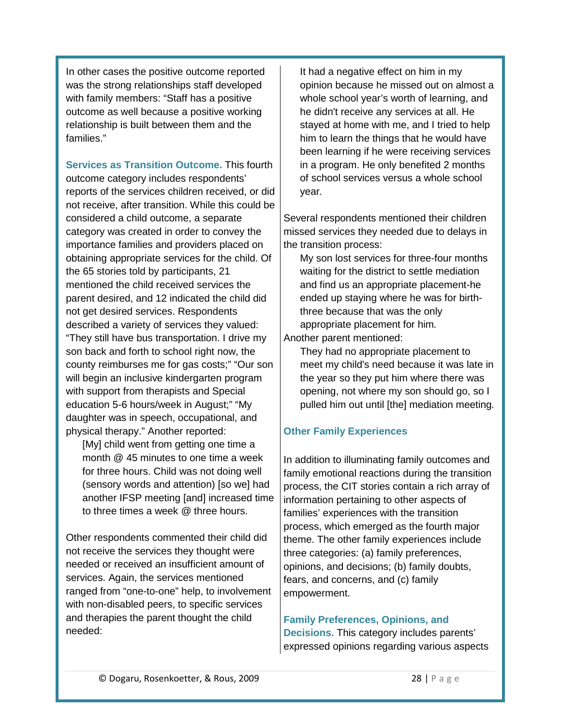In other cases the positive outcome reported was the strong relationships staff developed with family members: "Staff has a positive outcome as well because a positive working relationship is built between them and the families."

<span id="page-27-0"></span>**Services as Transition Outcome.** This fourth outcome category includes respondents' reports of the services children received, or did not receive, after transition. While this could be considered a child outcome, a separate category was created in order to convey the importance families and providers placed on obtaining appropriate services for the child. Of the 65 stories told by participants, 21 mentioned the child received services the parent desired, and 12 indicated the child did not get desired services. Respondents described a variety of services they valued: "They still have bus transportation. I drive my son back and forth to school right now, the county reimburses me for gas costs;" "Our son will begin an inclusive kindergarten program with support from therapists and Special education 5-6 hours/week in August;" "My daughter was in speech, occupational, and physical therapy." Another reported:

[My] child went from getting one time a month @ 45 minutes to one time a week for three hours. Child was not doing well (sensory words and attention) [so we] had another IFSP meeting [and] increased time to three times a week @ three hours.

Other respondents commented their child did not receive the services they thought were needed or received an insufficient amount of services. Again, the services mentioned ranged from "one-to-one" help, to involvement with non-disabled peers, to specific services and therapies the parent thought the child needed:

It had a negative effect on him in my opinion because he missed out on almost a whole school year's worth of learning, and he didn't receive any services at all. He stayed at home with me, and I tried to help him to learn the things that he would have been learning if he were receiving services in a program. He only benefited 2 months of school services versus a whole school year*.* 

Several respondents mentioned their children missed services they needed due to delays in the transition process:

My son lost services for three-four months waiting for the district to settle mediation and find us an appropriate placement-he ended up staying where he was for birththree because that was the only appropriate placement for him*.* Another parent mentioned:

They had no appropriate placement to meet my child's need because it was late in the year so they put him where there was opening, not where my son should go, so I pulled him out until [the] mediation meeting*.*

#### <span id="page-27-1"></span>**Other Family Experiences**

In addition to illuminating family outcomes and family emotional reactions during the transition process, the CIT stories contain a rich array of information pertaining to other aspects of families' experiences with the transition process, which emerged as the fourth major theme. The other family experiences include three categories: (a) family preferences, opinions, and decisions; (b) family doubts, fears, and concerns, and (c) family empowerment.

#### <span id="page-27-2"></span>**Family Preferences, Opinions, and Decisions.** This category includes parents' expressed opinions regarding various aspects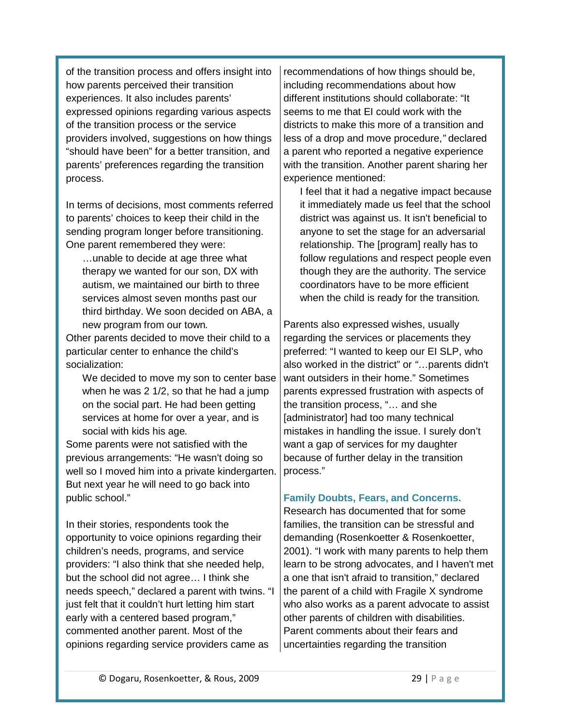of the transition process and offers insight into how parents perceived their transition experiences. It also includes parents' expressed opinions regarding various aspects of the transition process or the service providers involved, suggestions on how things "should have been" for a better transition, and parents' preferences regarding the transition process.

In terms of decisions, most comments referred to parents' choices to keep their child in the sending program longer before transitioning. One parent remembered they were:

…unable to decide at age three what therapy we wanted for our son, DX with autism, we maintained our birth to three services almost seven months past our third birthday. We soon decided on ABA, a new program from our town*.*

Other parents decided to move their child to a particular center to enhance the child's socialization:

We decided to move my son to center base when he was 2 1/2, so that he had a jump on the social part. He had been getting services at home for over a year, and is social with kids his age*.*

Some parents were not satisfied with the previous arrangements: "He wasn't doing so well so I moved him into a private kindergarten. But next year he will need to go back into public school."

In their stories, respondents took the opportunity to voice opinions regarding their children's needs, programs, and service providers: "I also think that she needed help, but the school did not agree… I think she needs speech," declared a parent with twins. "I just felt that it couldn't hurt letting him start early with a centered based program," commented another parent. Most of the opinions regarding service providers came as

recommendations of how things should be, including recommendations about how different institutions should collaborate: "It seems to me that EI could work with the districts to make this more of a transition and less of a drop and move procedure,*"* declared a parent who reported a negative experience with the transition. Another parent sharing her experience mentioned:

I feel that it had a negative impact because it immediately made us feel that the school district was against us. It isn't beneficial to anyone to set the stage for an adversarial relationship. The [program] really has to follow regulations and respect people even though they are the authority. The service coordinators have to be more efficient when the child is ready for the transition*.*

Parents also expressed wishes, usually regarding the services or placements they preferred: "I wanted to keep our EI SLP, who also worked in the district" or *"*…parents didn't want outsiders in their home." Sometimes parents expressed frustration with aspects of the transition process, "… and she [administrator] had too many technical mistakes in handling the issue. I surely don't want a gap of services for my daughter because of further delay in the transition process."

#### <span id="page-28-0"></span>**Family Doubts, Fears, and Concerns.**

Research has documented that for some families, the transition can be stressful and demanding (Rosenkoetter & Rosenkoetter, 2001). "I work with many parents to help them learn to be strong advocates, and I haven't met a one that isn't afraid to transition," declared the parent of a child with Fragile X syndrome who also works as a parent advocate to assist other parents of children with disabilities. Parent comments about their fears and uncertainties regarding the transition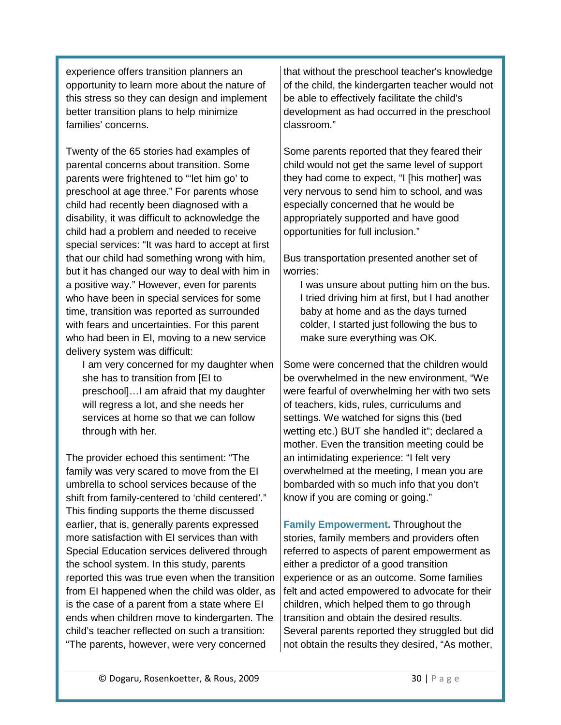experience offers transition planners an opportunity to learn more about the nature of this stress so they can design and implement better transition plans to help minimize families' concerns.

Twenty of the 65 stories had examples of parental concerns about transition. Some parents were frightened to "'let him go' to preschool at age three." For parents whose child had recently been diagnosed with a disability, it was difficult to acknowledge the child had a problem and needed to receive special services: "It was hard to accept at first that our child had something wrong with him, but it has changed our way to deal with him in a positive way." However, even for parents who have been in special services for some time, transition was reported as surrounded with fears and uncertainties. For this parent who had been in EI, moving to a new service delivery system was difficult:

I am very concerned for my daughter when she has to transition from [EI to preschool]…I am afraid that my daughter will regress a lot, and she needs her services at home so that we can follow through with her*.*

The provider echoed this sentiment: "The family was very scared to move from the EI umbrella to school services because of the shift from family-centered to 'child centered'." This finding supports the theme discussed earlier, that is, generally parents expressed more satisfaction with EI services than with Special Education services delivered through the school system. In this study, parents reported this was true even when the transition from EI happened when the child was older, as is the case of a parent from a state where EI ends when children move to kindergarten. The child's teacher reflected on such a transition: "The parents, however, were very concerned

that without the preschool teacher's knowledge of the child, the kindergarten teacher would not be able to effectively facilitate the child's development as had occurred in the preschool classroom."

Some parents reported that they feared their child would not get the same level of support they had come to expect, "I [his mother] was very nervous to send him to school, and was especially concerned that he would be appropriately supported and have good opportunities for full inclusion."

Bus transportation presented another set of worries:

I was unsure about putting him on the bus. I tried driving him at first, but I had another baby at home and as the days turned colder, I started just following the bus to make sure everything was OK*.* 

Some were concerned that the children would be overwhelmed in the new environment, "We were fearful of overwhelming her with two sets of teachers, kids, rules, curriculums and settings. We watched for signs this (bed wetting etc.) BUT she handled it"; declared a mother. Even the transition meeting could be an intimidating experience: "I felt very overwhelmed at the meeting, I mean you are bombarded with so much info that you don't know if you are coming or going."

<span id="page-29-0"></span>**Family Empowerment.** Throughout the stories, family members and providers often referred to aspects of parent empowerment as either a predictor of a good transition experience or as an outcome. Some families felt and acted empowered to advocate for their children, which helped them to go through transition and obtain the desired results. Several parents reported they struggled but did not obtain the results they desired, "As mother,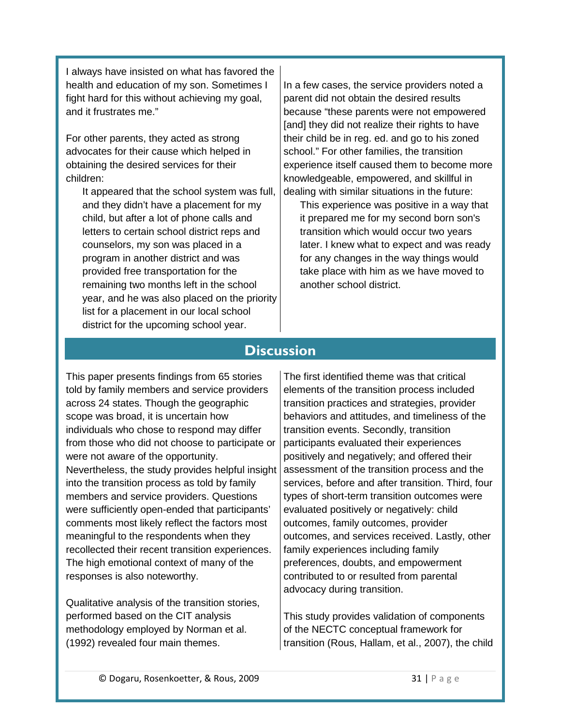I always have insisted on what has favored the health and education of my son. Sometimes I fight hard for this without achieving my goal, and it frustrates me."

For other parents, they acted as strong advocates for their cause which helped in obtaining the desired services for their children:

It appeared that the school system was full, and they didn't have a placement for my child, but after a lot of phone calls and letters to certain school district reps and counselors, my son was placed in a program in another district and was provided free transportation for the remaining two months left in the school year, and he was also placed on the priority list for a placement in our local school district for the upcoming school year.

In a few cases, the service providers noted a parent did not obtain the desired results because "these parents were not empowered [and] they did not realize their rights to have their child be in reg. ed. and go to his zoned school." For other families, the transition experience itself caused them to become more knowledgeable, empowered, and skillful in dealing with similar situations in the future:

This experience was positive in a way that it prepared me for my second born son's transition which would occur two years later. I knew what to expect and was ready for any changes in the way things would take place with him as we have moved to another school district.

# **Discussion**

<span id="page-30-0"></span>This paper presents findings from 65 stories told by family members and service providers across 24 states. Though the geographic scope was broad, it is uncertain how individuals who chose to respond may differ from those who did not choose to participate or were not aware of the opportunity. Nevertheless, the study provides helpful insight into the transition process as told by family members and service providers. Questions were sufficiently open-ended that participants' comments most likely reflect the factors most meaningful to the respondents when they recollected their recent transition experiences. The high emotional context of many of the responses is also noteworthy.

Qualitative analysis of the transition stories, performed based on the CIT analysis methodology employed by Norman et al. (1992) revealed four main themes.

The first identified theme was that critical elements of the transition process included transition practices and strategies, provider behaviors and attitudes, and timeliness of the transition events. Secondly, transition participants evaluated their experiences positively and negatively; and offered their assessment of the transition process and the services, before and after transition. Third, four types of short-term transition outcomes were evaluated positively or negatively: child outcomes, family outcomes, provider outcomes, and services received. Lastly, other family experiences including family preferences, doubts, and empowerment contributed to or resulted from parental advocacy during transition.

This study provides validation of components of the NECTC conceptual framework for transition (Rous, Hallam, et al., 2007), the child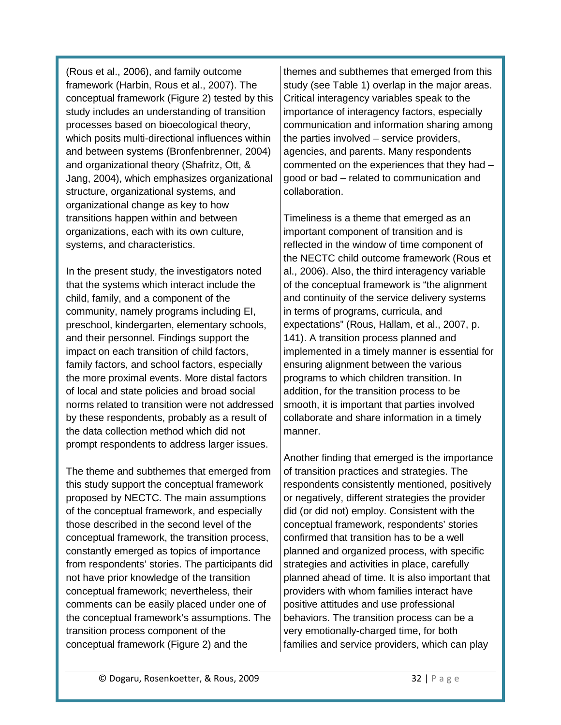(Rous et al., 2006), and family outcome framework (Harbin, Rous et al., 2007). The conceptual framework (Figure 2) tested by this study includes an understanding of transition processes based on bioecological theory, which posits multi-directional influences within and between systems (Bronfenbrenner, 2004) and organizational theory (Shafritz, Ott, & Jang, 2004), which emphasizes organizational structure, organizational systems, and organizational change as key to how transitions happen within and between organizations, each with its own culture, systems, and characteristics.

In the present study, the investigators noted that the systems which interact include the child, family, and a component of the community, namely programs including EI, preschool, kindergarten, elementary schools, and their personnel. Findings support the impact on each transition of child factors, family factors, and school factors, especially the more proximal events. More distal factors of local and state policies and broad social norms related to transition were not addressed by these respondents, probably as a result of the data collection method which did not prompt respondents to address larger issues.

The theme and subthemes that emerged from this study support the conceptual framework proposed by NECTC. The main assumptions of the conceptual framework, and especially those described in the second level of the conceptual framework, the transition process, constantly emerged as topics of importance from respondents' stories. The participants did not have prior knowledge of the transition conceptual framework; nevertheless, their comments can be easily placed under one of the conceptual framework's assumptions. The transition process component of the conceptual framework (Figure 2) and the

themes and subthemes that emerged from this study (see Table 1) overlap in the major areas. Critical interagency variables speak to the importance of interagency factors, especially communication and information sharing among the parties involved – service providers, agencies, and parents. Many respondents commented on the experiences that they had – good or bad – related to communication and collaboration.

Timeliness is a theme that emerged as an important component of transition and is reflected in the window of time component of the NECTC child outcome framework (Rous et al., 2006). Also, the third interagency variable of the conceptual framework is "the alignment and continuity of the service delivery systems in terms of programs, curricula, and expectations" (Rous, Hallam, et al., 2007, p. 141). A transition process planned and implemented in a timely manner is essential for ensuring alignment between the various programs to which children transition. In addition, for the transition process to be smooth, it is important that parties involved collaborate and share information in a timely manner.

Another finding that emerged is the importance of transition practices and strategies. The respondents consistently mentioned, positively or negatively, different strategies the provider did (or did not) employ. Consistent with the conceptual framework, respondents' stories confirmed that transition has to be a well planned and organized process, with specific strategies and activities in place, carefully planned ahead of time. It is also important that providers with whom families interact have positive attitudes and use professional behaviors. The transition process can be a very emotionally-charged time, for both families and service providers, which can play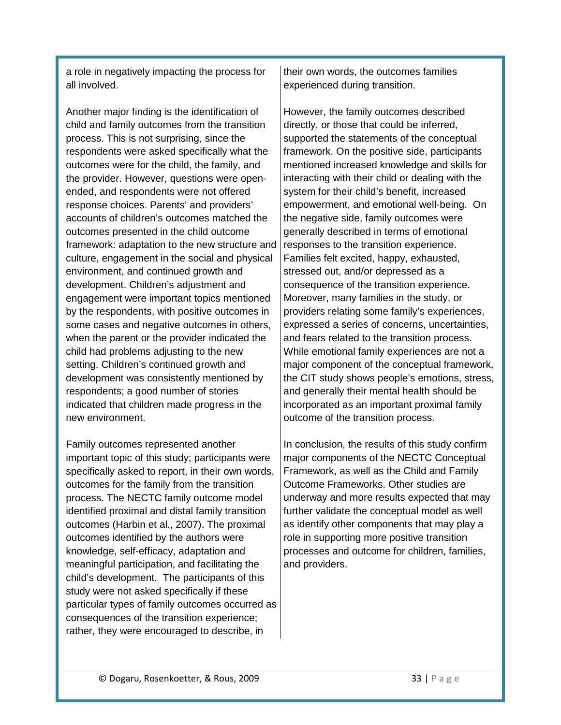a role in negatively impacting the process for all involved.

Another major finding is the identification of child and family outcomes from the transition process. This is not surprising, since the respondents were asked specifically what the outcomes were for the child, the family, and the provider. However, questions were openended, and respondents were not offered response choices. Parents' and providers' accounts of children's outcomes matched the outcomes presented in the child outcome framework: adaptation to the new structure and culture, engagement in the social and physical environment, and continued growth and development. Children's adjustment and engagement were important topics mentioned by the respondents, with positive outcomes in some cases and negative outcomes in others, when the parent or the provider indicated the child had problems adjusting to the new setting. Children's continued growth and development was consistently mentioned by respondents; a good number of stories indicated that children made progress in the new environment.

Family outcomes represented another important topic of this study; participants were specifically asked to report, in their own words, outcomes for the family from the transition process. The NECTC family outcome model identified proximal and distal family transition outcomes (Harbin et al., 2007). The proximal outcomes identified by the authors were knowledge, self-efficacy, adaptation and meaningful participation, and facilitating the child's development. The participants of this study were not asked specifically if these particular types of family outcomes occurred as consequences of the transition experience; rather, they were encouraged to describe, in

their own words, the outcomes families experienced during transition.

However, the family outcomes described directly, or those that could be inferred, supported the statements of the conceptual framework. On the positive side, participants mentioned increased knowledge and skills for interacting with their child or dealing with the system for their child's benefit, increased empowerment, and emotional well-being. On the negative side, family outcomes were generally described in terms of emotional responses to the transition experience. Families felt excited, happy, exhausted, stressed out, and/or depressed as a consequence of the transition experience. Moreover, many families in the study, or providers relating some family's experiences, expressed a series of concerns, uncertainties, and fears related to the transition process. While emotional family experiences are not a major component of the conceptual framework, the CIT study shows people's emotions, stress, and generally their mental health should be incorporated as an important proximal family outcome of the transition process.

In conclusion, the results of this study confirm major components of the NECTC Conceptual Framework, as well as the Child and Family Outcome Frameworks. Other studies are underway and more results expected that may further validate the conceptual model as well as identify other components that may play a role in supporting more positive transition processes and outcome for children, families, and providers.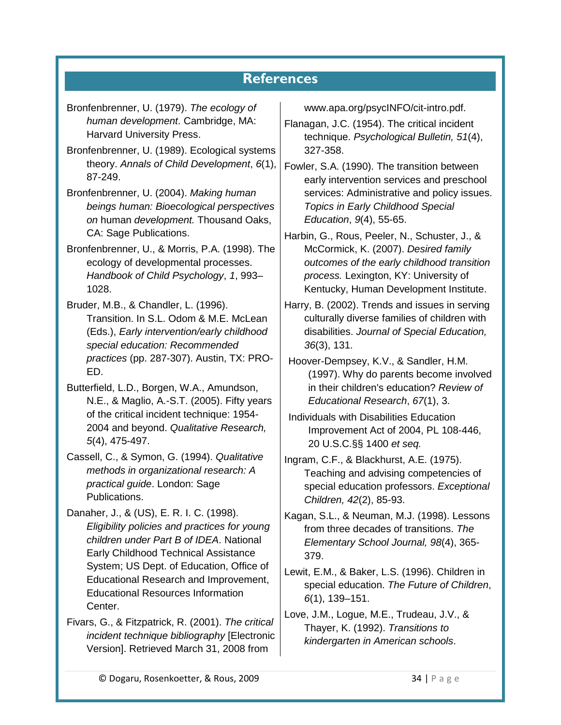# **References**

<span id="page-33-0"></span>

| Bronfenbrenner, U. (1979). The ecology of      | www.apa.org/psycINFO/cit-intro.pdf.                      |
|------------------------------------------------|----------------------------------------------------------|
| human development. Cambridge, MA:              | Flanagan, J.C. (1954). The critical incident             |
| Harvard University Press.                      | technique. Psychological Bulletin, 51(4),                |
| Bronfenbrenner, U. (1989). Ecological systems  | 327-358.                                                 |
| theory. Annals of Child Development, 6(1),     | Fowler, S.A. (1990). The transition between              |
| 87-249.                                        | early intervention services and preschool                |
| Bronfenbrenner, U. (2004). Making human        | services: Administrative and policy issues.              |
| beings human: Bioecological perspectives       | <b>Topics in Early Childhood Special</b>                 |
| on human development. Thousand Oaks,           | Education, 9(4), 55-65.                                  |
| CA: Sage Publications.                         | Harbin, G., Rous, Peeler, N., Schuster, J., &            |
| Bronfenbrenner, U., & Morris, P.A. (1998). The | McCormick, K. (2007). Desired family                     |
| ecology of developmental processes.            | outcomes of the early childhood transition               |
| Handbook of Child Psychology, 1, 993-          | process. Lexington, KY: University of                    |
| 1028.                                          | Kentucky, Human Development Institute.                   |
| Bruder, M.B., & Chandler, L. (1996).           | Harry, B. (2002). Trends and issues in serving           |
| Transition. In S.L. Odom & M.E. McLean         | culturally diverse families of children with             |
| (Eds.), Early intervention/early childhood     | disabilities. Journal of Special Education,              |
| special education: Recommended                 | $36(3)$ , 131.                                           |
| practices (pp. 287-307). Austin, TX: PRO-      | Hoover-Dempsey, K.V., & Sandler, H.M.                    |
| ED.                                            | (1997). Why do parents become involved                   |
| Butterfield, L.D., Borgen, W.A., Amundson,     | in their children's education? Review of                 |
| N.E., & Maglio, A.-S.T. (2005). Fifty years    | Educational Research, 67(1), 3.                          |
| of the critical incident technique: 1954-      | Individuals with Disabilities Education                  |
| 2004 and beyond. Qualitative Research,         | Improvement Act of 2004, PL 108-446,                     |
| $5(4)$ , 475-497.                              | 20 U.S.C.§§ 1400 et seq.                                 |
| Cassell, C., & Symon, G. (1994). Qualitative   | Ingram, C.F., & Blackhurst, A.E. (1975).                 |
| methods in organizational research: A          | Teaching and advising competencies of                    |
| practical guide. London: Sage                  | special education professors. Exceptional                |
| Publications.                                  | Children, 42(2), 85-93.                                  |
| Danaher, J., & (US), E. R. I. C. (1998).       | Kagan, S.L., & Neuman, M.J. (1998). Lessons              |
| Eligibility policies and practices for young   | from three decades of transitions. The                   |
| children under Part B of IDEA. National        | Elementary School Journal, 98(4), 365-                   |
| <b>Early Childhood Technical Assistance</b>    | 379.                                                     |
| System; US Dept. of Education, Office of       | Lewit, E.M., & Baker, L.S. (1996). Children in           |
| Educational Research and Improvement,          | special education. The Future of Children,               |
| <b>Educational Resources Information</b>       | $\gamma$ $\lambda$ $\lambda$ $\gamma$ $\lambda$ $\gamma$ |

Fivars, G., & Fitzpatrick, R. (2001). *The critical incident technique bibliography* [Electronic Version]. Retrieved March 31, 2008 from

Center.

*6*(1), 139–151. Love, J.M., Logue, M.E., Trudeau, J.V., & Thayer, K. (1992). *Transitions to kindergarten in American schools*.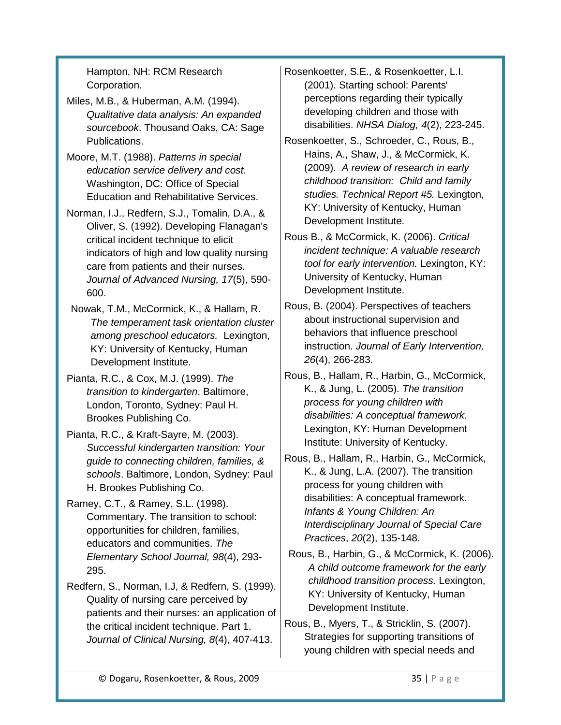Hampton, NH: RCM Research Corporation.

- Miles, M.B., & Huberman, A.M. (1994). *Qualitative data analysis: An expanded sourcebook*. Thousand Oaks, CA: Sage Publications.
- Moore, M.T. (1988). *Patterns in special education service delivery and cost.* Washington, DC: Office of Special Education and Rehabilitative Services.
- Norman, I.J., Redfern, S.J., Tomalin, D.A., & Oliver, S. (1992). Developing Flanagan's critical incident technique to elicit indicators of high and low quality nursing care from patients and their nurses. *Journal of Advanced Nursing, 17*(5), 590- 600.
- Nowak, T.M., McCormick, K., & Hallam, R. *The temperament task orientation cluster among preschool educators.* Lexington, KY: University of Kentucky, Human Development Institute.
- Pianta, R.C., & Cox, M.J. (1999). *The transition to kindergarten*. Baltimore, London, Toronto, Sydney: Paul H. Brookes Publishing Co.
- Pianta, R.C., & Kraft-Sayre, M. (2003). *Successful kindergarten transition: Your guide to connecting children, families, & schools*. Baltimore, London, Sydney: Paul H. Brookes Publishing Co.
- Ramey, C.T., & Ramey, S.L. (1998). Commentary. The transition to school: opportunities for children, families, educators and communities. *The Elementary School Journal, 98*(4), 293- 295.
- Redfern, S., Norman, I.J, & Redfern, S. (1999). Quality of nursing care perceived by patients and their nurses: an application of the critical incident technique. Part 1. *Journal of Clinical Nursing, 8*(4), 407-413.
- Rosenkoetter, S.E., & Rosenkoetter, L.I. (2001). Starting school: Parents' perceptions regarding their typically developing children and those with disabilities. *NHSA Dialog, 4*(2), 223-245.
- Rosenkoetter, S., Schroeder, C., Rous, B., Hains, A., Shaw, J., & McCormick, K. (2009). *A review of research in early childhood transition: Child and family studies. Technical Report #5.* Lexington, KY: University of Kentucky, Human Development Institute.
- Rous B., & McCormick, K. (2006). *Critical incident technique: A valuable research tool for early intervention.* Lexington, KY: University of Kentucky, Human Development Institute.
- Rous, B. (2004). Perspectives of teachers about instructional supervision and behaviors that influence preschool instruction. *Journal of Early Intervention, 26*(4), 266-283.
- Rous, B., Hallam, R., Harbin, G., McCormick, K., & Jung, L. (2005). *The transition process for young children with disabilities: A conceptual framework*. Lexington, KY: Human Development Institute: University of Kentucky.
- Rous, B., Hallam, R., Harbin, G., McCormick, K., & Jung, L.A. (2007). The transition process for young children with disabilities: A conceptual framework. *Infants & Young Children: An Interdisciplinary Journal of Special Care Practices*, *20*(2), 135-148.
- Rous, B., Harbin, G., & McCormick, K. (2006). *A child outcome framework for the early childhood transition process*. Lexington, KY: University of Kentucky, Human Development Institute.
- Rous, B., Myers, T., & Stricklin, S. (2007). Strategies for supporting transitions of young children with special needs and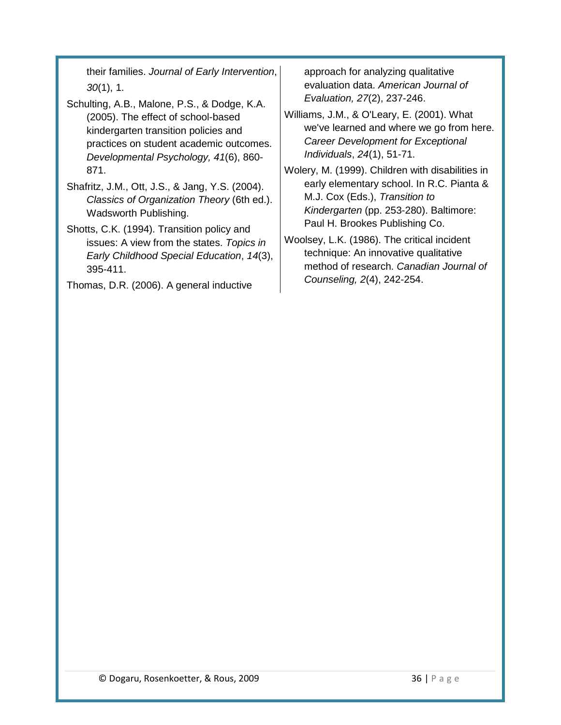their families. *Journal of Early Intervention*, *30*(1), 1.

- Schulting, A.B., Malone, P.S., & Dodge, K.A. (2005). The effect of school-based kindergarten transition policies and practices on student academic outcomes. *Developmental Psychology, 41*(6), 860- 871.
- Shafritz, J.M., Ott, J.S., & Jang, Y.S. (2004). *Classics of Organization Theory* (6th ed.). Wadsworth Publishing.
- Shotts, C.K. (1994). Transition policy and issues: A view from the states. *Topics in Early Childhood Special Education*, *14*(3), 395-411.

Thomas, D.R. (2006). A general inductive

approach for analyzing qualitative evaluation data. *American Journal of Evaluation, 27*(2), 237-246.

Williams, J.M., & O'Leary, E. (2001). What we've learned and where we go from here. *Career Development for Exceptional Individuals*, *24*(1), 51-71.

Wolery, M. (1999). Children with disabilities in early elementary school. In R.C. Pianta & M.J. Cox (Eds.), *Transition to Kindergarten* (pp. 253-280). Baltimore: Paul H. Brookes Publishing Co.

Woolsey, L.K. (1986). The critical incident technique: An innovative qualitative method of research. *Canadian Journal of Counseling, 2*(4), 242-254.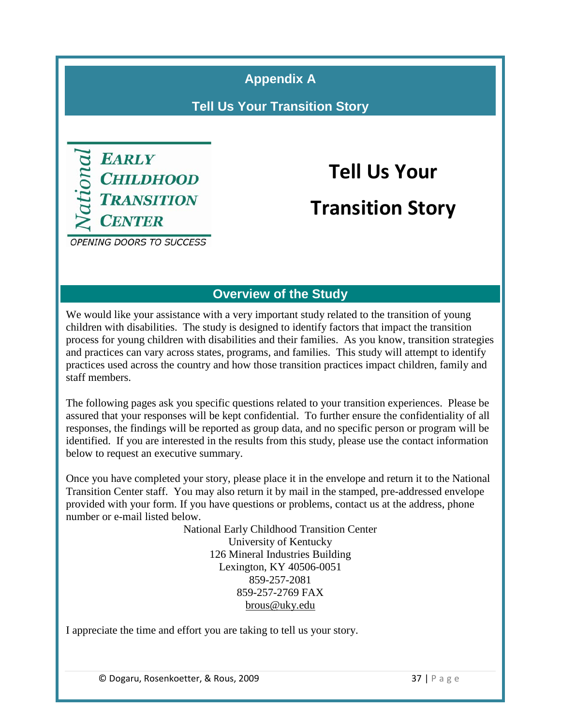**Appendix A**

**Tell Us Your Transition Story**

<span id="page-36-0"></span>

# **Tell Us Your Transition Story**

**OPENING DOORS TO SUCCESS** 

## **Overview of the Study**

We would like your assistance with a very important study related to the transition of young children with disabilities. The study is designed to identify factors that impact the transition process for young children with disabilities and their families. As you know, transition strategies and practices can vary across states, programs, and families. This study will attempt to identify practices used across the country and how those transition practices impact children, family and staff members.

The following pages ask you specific questions related to your transition experiences. Please be assured that your responses will be kept confidential. To further ensure the confidentiality of all responses, the findings will be reported as group data, and no specific person or program will be identified. If you are interested in the results from this study, please use the contact information below to request an executive summary.

Once you have completed your story, please place it in the envelope and return it to the National Transition Center staff. You may also return it by mail in the stamped, pre-addressed envelope provided with your form. If you have questions or problems, contact us at the address, phone number or e-mail listed below.

> National Early Childhood Transition Center University of Kentucky 126 Mineral Industries Building Lexington, KY 40506-0051 859-257-2081 859-257-2769 FAX brous@uky.edu

I appreciate the time and effort you are taking to tell us your story.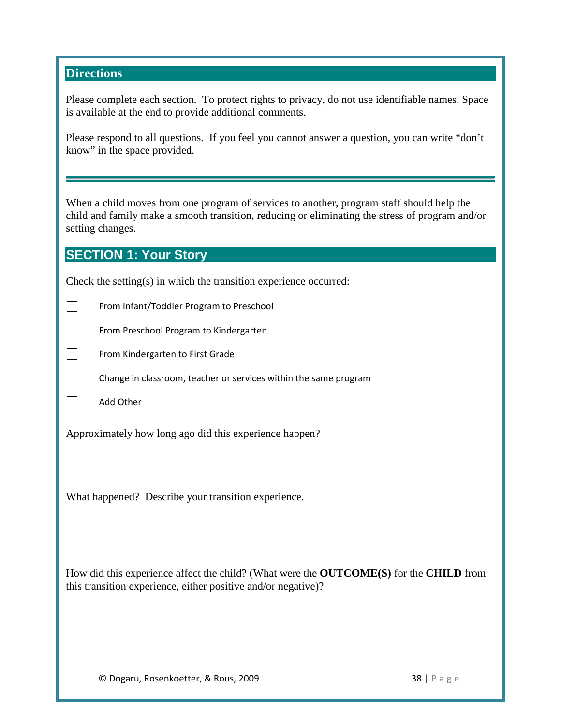#### **Directions**

Please complete each section. To protect rights to privacy, do not use identifiable names. Space is available at the end to provide additional comments.

Please respond to all questions. If you feel you cannot answer a question, you can write "don't know" in the space provided.

When a child moves from one program of services to another, program staff should help the child and family make a smooth transition, reducing or eliminating the stress of program and/or setting changes.

#### **SECTION 1: Your Story**

Check the setting(s) in which the transition experience occurred:

- $\mathcal{L}^{\mathcal{A}}$ From Infant/Toddler Program to Preschool
- $\Box$ From Preschool Program to Kindergarten
- $\Box$ From Kindergarten to First Grade
- $\Box$ Change in classroom, teacher or services within the same program
- $\Box$ Add Other

Approximately how long ago did this experience happen?

What happened? Describe your transition experience.

How did this experience affect the child? (What were the **OUTCOME(S)** for the **CHILD** from this transition experience, either positive and/or negative)?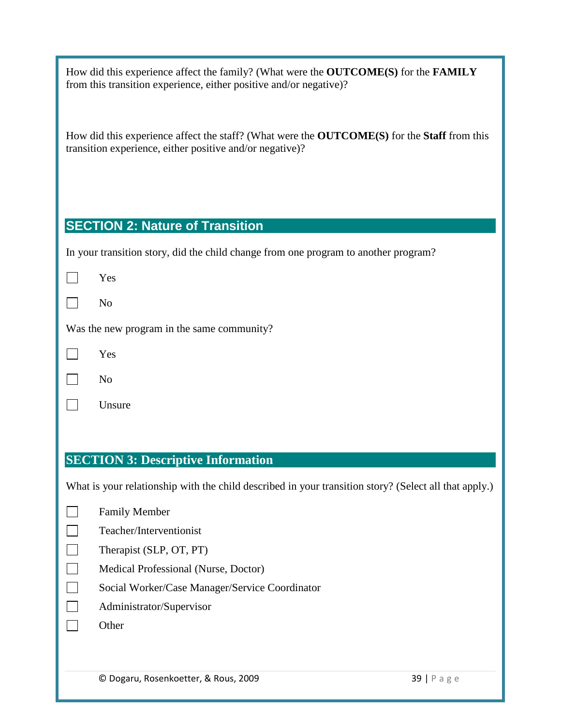How did this experience affect the family? (What were the **OUTCOME(S)** for the **FAMILY** from this transition experience, either positive and/or negative)?

How did this experience affect the staff? (What were the **OUTCOME(S)** for the **Staff** from this transition experience, either positive and/or negative)?

# **SECTION 2: Nature of Transition**

In your transition story, did the child change from one program to another program?

|--|--|

|  | ۰, |
|--|----|
|--|----|

Was the new program in the same community?

|--|--|

 $\Box$ 

Unsure

## **SECTION 3: Descriptive Information**

What is your relationship with the child described in your transition story? (Select all that apply.)

| <b>Family Member</b>                           |
|------------------------------------------------|
| Teacher/Interventionist                        |
| Therapist (SLP, OT, PT)                        |
| Medical Professional (Nurse, Doctor)           |
| Social Worker/Case Manager/Service Coordinator |
| Administrator/Supervisor                       |
| Other                                          |
|                                                |